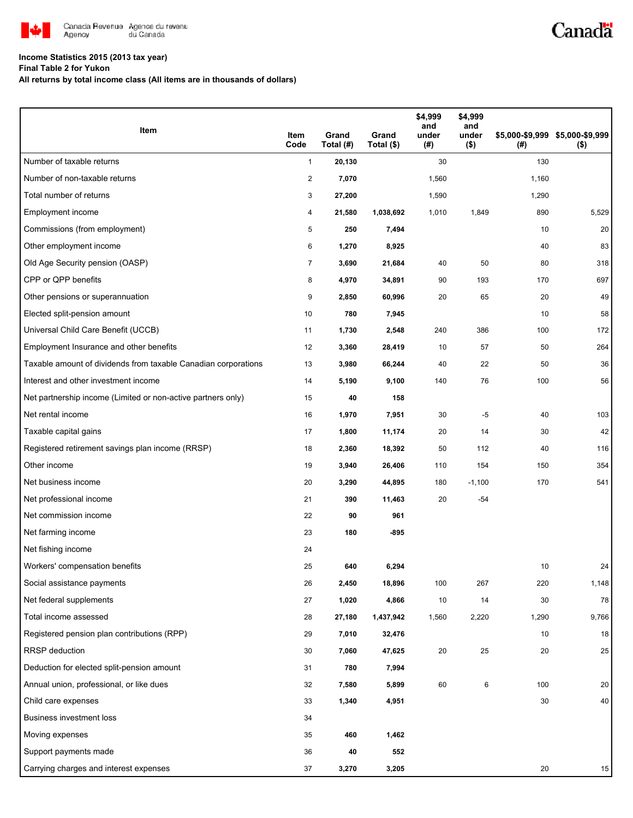

## **Income Statistics 2015 (2013 tax year)**

**Final Table 2 for Yukon**

**All returns by total income class (All items are in thousands of dollars)**

| Item                                                           | Item<br>Code   | Grand<br>Total (#) | Grand<br>Total (\$) | \$4,999<br>and<br>under<br>(#) | \$4,999<br>and<br>under<br>$($ \$) | (#)   | \$5,000-\$9,999 \$5,000-\$9,999<br>$($ \$) |
|----------------------------------------------------------------|----------------|--------------------|---------------------|--------------------------------|------------------------------------|-------|--------------------------------------------|
| Number of taxable returns                                      | $\mathbf{1}$   | 20,130             |                     | 30                             |                                    | 130   |                                            |
| Number of non-taxable returns                                  | $\overline{2}$ | 7,070              |                     | 1,560                          |                                    | 1,160 |                                            |
| Total number of returns                                        | 3              | 27,200             |                     | 1,590                          |                                    | 1,290 |                                            |
| Employment income                                              | 4              | 21,580             | 1,038,692           | 1,010                          | 1,849                              | 890   | 5,529                                      |
| Commissions (from employment)                                  | 5              | 250                | 7,494               |                                |                                    | 10    | 20                                         |
| Other employment income                                        | 6              | 1,270              | 8,925               |                                |                                    | 40    | 83                                         |
| Old Age Security pension (OASP)                                | $\overline{7}$ | 3,690              | 21,684              | 40                             | 50                                 | 80    | 318                                        |
| CPP or QPP benefits                                            | 8              | 4,970              | 34,891              | 90                             | 193                                | 170   | 697                                        |
| Other pensions or superannuation                               | 9              | 2,850              | 60,996              | 20                             | 65                                 | 20    | 49                                         |
| Elected split-pension amount                                   | 10             | 780                | 7,945               |                                |                                    | 10    | 58                                         |
| Universal Child Care Benefit (UCCB)                            | 11             | 1,730              | 2,548               | 240                            | 386                                | 100   | 172                                        |
| Employment Insurance and other benefits                        | 12             | 3,360              | 28,419              | 10                             | 57                                 | 50    | 264                                        |
| Taxable amount of dividends from taxable Canadian corporations | 13             | 3,980              | 66,244              | 40                             | 22                                 | 50    | 36                                         |
| Interest and other investment income                           | 14             | 5,190              | 9,100               | 140                            | 76                                 | 100   | 56                                         |
| Net partnership income (Limited or non-active partners only)   | 15             | 40                 | 158                 |                                |                                    |       |                                            |
| Net rental income                                              | 16             | 1,970              | 7,951               | 30                             | $-5$                               | 40    | 103                                        |
| Taxable capital gains                                          | 17             | 1,800              | 11,174              | 20                             | 14                                 | 30    | 42                                         |
| Registered retirement savings plan income (RRSP)               | 18             | 2,360              | 18,392              | 50                             | 112                                | 40    | 116                                        |
| Other income                                                   | 19             | 3,940              | 26,406              | 110                            | 154                                | 150   | 354                                        |
| Net business income                                            | 20             | 3,290              | 44,895              | 180                            | $-1,100$                           | 170   | 541                                        |
| Net professional income                                        | 21             | 390                | 11,463              | 20                             | $-54$                              |       |                                            |
| Net commission income                                          | 22             | 90                 | 961                 |                                |                                    |       |                                            |
| Net farming income                                             | 23             | 180                | $-895$              |                                |                                    |       |                                            |
| Net fishing income                                             | 24             |                    |                     |                                |                                    |       |                                            |
| Workers' compensation benefits                                 | 25             | 640                | 6,294               |                                |                                    | 10    | 24                                         |
| Social assistance payments                                     | 26             | 2,450              | 18,896              | 100                            | 267                                | 220   | 1,148                                      |
| Net federal supplements                                        | 27             | 1,020              | 4,866               | 10                             | 14                                 | 30    | 78                                         |
| Total income assessed                                          | 28             | 27,180             | 1,437,942           | 1,560                          | 2,220                              | 1,290 | 9,766                                      |
| Registered pension plan contributions (RPP)                    | 29             | 7,010              | 32,476              |                                |                                    | 10    | 18                                         |
| <b>RRSP</b> deduction                                          | 30             | 7,060              | 47,625              | 20                             | 25                                 | 20    | 25                                         |
| Deduction for elected split-pension amount                     | 31             | 780                | 7,994               |                                |                                    |       |                                            |
| Annual union, professional, or like dues                       | 32             | 7,580              | 5,899               | 60                             | 6                                  | 100   | 20                                         |
| Child care expenses                                            | 33             | 1,340              | 4,951               |                                |                                    | 30    | 40                                         |
| <b>Business investment loss</b>                                | 34             |                    |                     |                                |                                    |       |                                            |
| Moving expenses                                                | 35             | 460                | 1,462               |                                |                                    |       |                                            |
| Support payments made                                          | 36             | 40                 | 552                 |                                |                                    |       |                                            |
| Carrying charges and interest expenses                         | 37             | 3,270              | 3,205               |                                |                                    | 20    | 15                                         |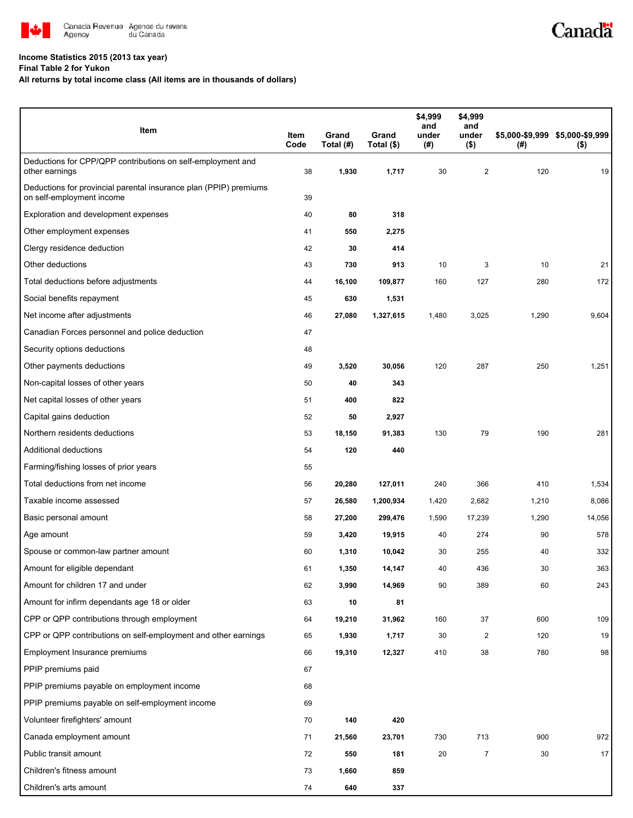

## **Income Statistics 2015 (2013 tax year)**

**Final Table 2 for Yukon**

## **All returns by total income class (All items are in thousands of dollars)**

| Item                                                                                           | Item<br>Code | Grand<br>Total (#) | Grand<br>Total (\$) | \$4,999<br>and<br>under<br>(#) | \$4,999<br>and<br>under<br>$($ \$) | (# )  | \$5,000-\$9,999 \$5,000-\$9,999<br>$($ \$) |
|------------------------------------------------------------------------------------------------|--------------|--------------------|---------------------|--------------------------------|------------------------------------|-------|--------------------------------------------|
| Deductions for CPP/QPP contributions on self-employment and<br>other earnings                  | 38           | 1,930              | 1,717               | 30                             | $\overline{\mathbf{c}}$            | 120   | 19                                         |
| Deductions for provincial parental insurance plan (PPIP) premiums<br>on self-employment income | 39           |                    |                     |                                |                                    |       |                                            |
| Exploration and development expenses                                                           | 40           | 80                 | 318                 |                                |                                    |       |                                            |
| Other employment expenses                                                                      | 41           | 550                | 2,275               |                                |                                    |       |                                            |
| Clergy residence deduction                                                                     | 42           | 30                 | 414                 |                                |                                    |       |                                            |
| Other deductions                                                                               | 43           | 730                | 913                 | 10                             | 3                                  | 10    | 21                                         |
| Total deductions before adjustments                                                            | 44           | 16,100             | 109,877             | 160                            | 127                                | 280   | 172                                        |
| Social benefits repayment                                                                      | 45           | 630                | 1,531               |                                |                                    |       |                                            |
| Net income after adjustments                                                                   | 46           | 27,080             | 1,327,615           | 1,480                          | 3,025                              | 1,290 | 9,604                                      |
| Canadian Forces personnel and police deduction                                                 | 47           |                    |                     |                                |                                    |       |                                            |
| Security options deductions                                                                    | 48           |                    |                     |                                |                                    |       |                                            |
| Other payments deductions                                                                      | 49           | 3,520              | 30,056              | 120                            | 287                                | 250   | 1,251                                      |
| Non-capital losses of other years                                                              | 50           | 40                 | 343                 |                                |                                    |       |                                            |
| Net capital losses of other years                                                              | 51           | 400                | 822                 |                                |                                    |       |                                            |
| Capital gains deduction                                                                        | 52           | 50                 | 2,927               |                                |                                    |       |                                            |
| Northern residents deductions                                                                  | 53           | 18,150             | 91,383              | 130                            | 79                                 | 190   | 281                                        |
| Additional deductions                                                                          | 54           | 120                | 440                 |                                |                                    |       |                                            |
| Farming/fishing losses of prior years                                                          | 55           |                    |                     |                                |                                    |       |                                            |
| Total deductions from net income                                                               | 56           | 20,280             | 127,011             | 240                            | 366                                | 410   | 1,534                                      |
| Taxable income assessed                                                                        | 57           | 26,580             | 1,200,934           | 1,420                          | 2,682                              | 1,210 | 8,086                                      |
| Basic personal amount                                                                          | 58           | 27,200             | 299,476             | 1,590                          | 17,239                             | 1,290 | 14,056                                     |
| Age amount                                                                                     | 59           | 3,420              | 19,915              | 40                             | 274                                | 90    | 578                                        |
| Spouse or common-law partner amount                                                            | 60           | 1,310              | 10,042              | 30                             | 255                                | 40    | 332                                        |
| Amount for eligible dependant                                                                  | 61           | 1,350              | 14,147              | 40                             | 436                                | 30    | 363                                        |
| Amount for children 17 and under                                                               | 62           | 3,990              | 14,969              | 90                             | 389                                | 60    | 243                                        |
| Amount for infirm dependants age 18 or older                                                   | 63           | 10                 | 81                  |                                |                                    |       |                                            |
| CPP or QPP contributions through employment                                                    | 64           | 19,210             | 31,962              | 160                            | 37                                 | 600   | 109                                        |
| CPP or QPP contributions on self-employment and other earnings                                 | 65           | 1,930              | 1,717               | 30                             | 2                                  | 120   | 19                                         |
| Employment Insurance premiums                                                                  | 66           | 19,310             | 12,327              | 410                            | 38                                 | 780   | 98                                         |
| PPIP premiums paid                                                                             | 67           |                    |                     |                                |                                    |       |                                            |
| PPIP premiums payable on employment income                                                     | 68           |                    |                     |                                |                                    |       |                                            |
| PPIP premiums payable on self-employment income                                                | 69           |                    |                     |                                |                                    |       |                                            |
| Volunteer firefighters' amount                                                                 | 70           | 140                | 420                 |                                |                                    |       |                                            |
| Canada employment amount                                                                       | 71           | 21,560             | 23,701              | 730                            | 713                                | 900   | 972                                        |
| Public transit amount                                                                          | 72           | 550                | 181                 | 20                             | 7                                  | 30    | 17                                         |
| Children's fitness amount                                                                      | 73           | 1,660              | 859                 |                                |                                    |       |                                            |
| Children's arts amount                                                                         | 74           | 640                | 337                 |                                |                                    |       |                                            |

Canadä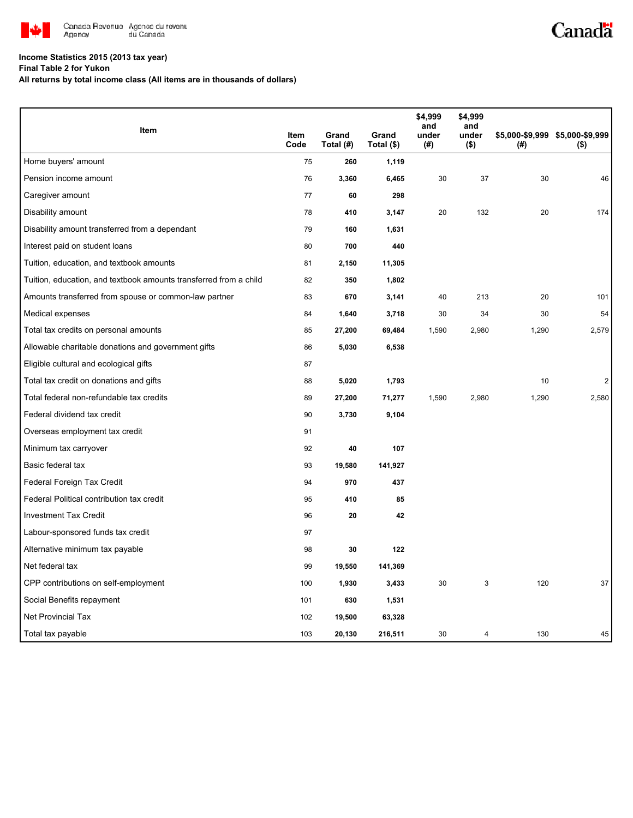

## **Income Statistics 2015 (2013 tax year)**

**Final Table 2 for Yukon**

**All returns by total income class (All items are in thousands of dollars)**

| Item                                                              |              |                    |                     | \$4,999<br>and | \$4,999<br>and   |       |                                            |
|-------------------------------------------------------------------|--------------|--------------------|---------------------|----------------|------------------|-------|--------------------------------------------|
|                                                                   | Item<br>Code | Grand<br>Total (#) | Grand<br>Total (\$) | under<br>(#)   | under<br>$($ \$) | (#)   | \$5,000-\$9,999 \$5,000-\$9,999<br>$($ \$) |
| Home buyers' amount                                               | 75           | 260                | 1,119               |                |                  |       |                                            |
| Pension income amount                                             | 76           | 3,360              | 6,465               | 30             | 37               | 30    | 46                                         |
| Caregiver amount                                                  | 77           | 60                 | 298                 |                |                  |       |                                            |
| Disability amount                                                 | 78           | 410                | 3,147               | 20             | 132              | 20    | 174                                        |
| Disability amount transferred from a dependant                    | 79           | 160                | 1,631               |                |                  |       |                                            |
| Interest paid on student loans                                    | 80           | 700                | 440                 |                |                  |       |                                            |
| Tuition, education, and textbook amounts                          | 81           | 2,150              | 11,305              |                |                  |       |                                            |
| Tuition, education, and textbook amounts transferred from a child | 82           | 350                | 1,802               |                |                  |       |                                            |
| Amounts transferred from spouse or common-law partner             | 83           | 670                | 3,141               | 40             | 213              | 20    | 101                                        |
| Medical expenses                                                  | 84           | 1,640              | 3,718               | 30             | 34               | 30    | 54                                         |
| Total tax credits on personal amounts                             | 85           | 27,200             | 69,484              | 1,590          | 2,980            | 1,290 | 2,579                                      |
| Allowable charitable donations and government gifts               | 86           | 5,030              | 6,538               |                |                  |       |                                            |
| Eligible cultural and ecological gifts                            | 87           |                    |                     |                |                  |       |                                            |
| Total tax credit on donations and gifts                           | 88           | 5,020              | 1,793               |                |                  | 10    | $\overline{2}$                             |
| Total federal non-refundable tax credits                          | 89           | 27,200             | 71,277              | 1,590          | 2,980            | 1,290 | 2,580                                      |
| Federal dividend tax credit                                       | 90           | 3,730              | 9,104               |                |                  |       |                                            |
| Overseas employment tax credit                                    | 91           |                    |                     |                |                  |       |                                            |
| Minimum tax carryover                                             | 92           | 40                 | 107                 |                |                  |       |                                            |
| Basic federal tax                                                 | 93           | 19,580             | 141,927             |                |                  |       |                                            |
| Federal Foreign Tax Credit                                        | 94           | 970                | 437                 |                |                  |       |                                            |
| Federal Political contribution tax credit                         | 95           | 410                | 85                  |                |                  |       |                                            |
| <b>Investment Tax Credit</b>                                      | 96           | 20                 | 42                  |                |                  |       |                                            |
| Labour-sponsored funds tax credit                                 | 97           |                    |                     |                |                  |       |                                            |
| Alternative minimum tax payable                                   | 98           | 30                 | 122                 |                |                  |       |                                            |
| Net federal tax                                                   | 99           | 19,550             | 141,369             |                |                  |       |                                            |
| CPP contributions on self-employment                              | 100          | 1,930              | 3,433               | 30             | 3                | 120   | 37                                         |
| Social Benefits repayment                                         | 101          | 630                | 1,531               |                |                  |       |                                            |
| Net Provincial Tax                                                | 102          | 19,500             | 63,328              |                |                  |       |                                            |
| Total tax payable                                                 | 103          | 20,130             | 216,511             | 30             | 4                | 130   | 45                                         |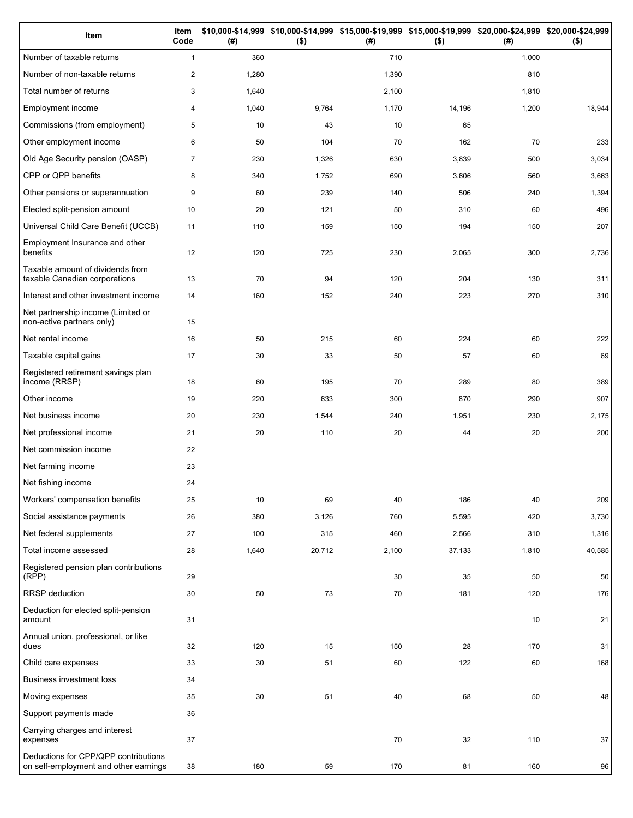| Item                                                                          | Item<br>Code   | (#)   | $($ \$) | (#)   | \$10,000-\$14,999 \$10,000-\$14,999 \$15,000-\$19,999 \$15,000-\$19,999 \$20,000-\$24,999 \$20,000-\$24,999<br>$($ \$) | (#)   | $($ \$) |
|-------------------------------------------------------------------------------|----------------|-------|---------|-------|------------------------------------------------------------------------------------------------------------------------|-------|---------|
| Number of taxable returns                                                     | $\mathbf{1}$   | 360   |         | 710   |                                                                                                                        | 1,000 |         |
| Number of non-taxable returns                                                 | $\mathbf{2}$   | 1,280 |         | 1,390 |                                                                                                                        | 810   |         |
| Total number of returns                                                       | 3              | 1,640 |         | 2,100 |                                                                                                                        | 1,810 |         |
| Employment income                                                             | 4              | 1,040 | 9,764   | 1,170 | 14,196                                                                                                                 | 1,200 | 18,944  |
| Commissions (from employment)                                                 | 5              | 10    | 43      | 10    | 65                                                                                                                     |       |         |
| Other employment income                                                       | 6              | 50    | 104     | 70    | 162                                                                                                                    | 70    | 233     |
| Old Age Security pension (OASP)                                               | $\overline{7}$ | 230   | 1,326   | 630   | 3,839                                                                                                                  | 500   | 3,034   |
| CPP or QPP benefits                                                           | 8              | 340   | 1,752   | 690   | 3,606                                                                                                                  | 560   | 3,663   |
| Other pensions or superannuation                                              | 9              | 60    | 239     | 140   | 506                                                                                                                    | 240   | 1,394   |
| Elected split-pension amount                                                  | 10             | 20    | 121     | 50    | 310                                                                                                                    | 60    | 496     |
| Universal Child Care Benefit (UCCB)                                           | 11             | 110   | 159     | 150   | 194                                                                                                                    | 150   | 207     |
| Employment Insurance and other<br>benefits                                    | 12             | 120   | 725     | 230   | 2,065                                                                                                                  | 300   | 2,736   |
| Taxable amount of dividends from<br>taxable Canadian corporations             | 13             | 70    | 94      | 120   | 204                                                                                                                    | 130   | 311     |
| Interest and other investment income                                          | 14             | 160   | 152     | 240   | 223                                                                                                                    | 270   | 310     |
| Net partnership income (Limited or<br>non-active partners only)               | 15             |       |         |       |                                                                                                                        |       |         |
| Net rental income                                                             | 16             | 50    | 215     | 60    | 224                                                                                                                    | 60    | 222     |
| Taxable capital gains                                                         | 17             | 30    | 33      | 50    | 57                                                                                                                     | 60    | 69      |
| Registered retirement savings plan<br>income (RRSP)                           | 18             | 60    | 195     | 70    | 289                                                                                                                    | 80    | 389     |
| Other income                                                                  | 19             | 220   | 633     | 300   | 870                                                                                                                    | 290   | 907     |
| Net business income                                                           | 20             | 230   | 1,544   | 240   | 1,951                                                                                                                  | 230   | 2,175   |
| Net professional income                                                       | 21             | 20    | 110     | 20    | 44                                                                                                                     | 20    | 200     |
| Net commission income                                                         | 22             |       |         |       |                                                                                                                        |       |         |
| Net farming income                                                            | 23             |       |         |       |                                                                                                                        |       |         |
| Net fishing income                                                            | 24             |       |         |       |                                                                                                                        |       |         |
| Workers' compensation benefits                                                | 25             | 10    | 69      | 40    | 186                                                                                                                    | 40    | 209     |
| Social assistance payments                                                    | 26             | 380   | 3,126   | 760   | 5,595                                                                                                                  | 420   | 3,730   |
| Net federal supplements                                                       | 27             | 100   | 315     | 460   | 2,566                                                                                                                  | 310   | 1,316   |
| Total income assessed                                                         | 28             | 1,640 | 20,712  | 2,100 | 37,133                                                                                                                 | 1,810 | 40,585  |
| Registered pension plan contributions<br>(RPP)                                | 29             |       |         | 30    | 35                                                                                                                     | 50    | 50      |
| RRSP deduction                                                                | 30             | 50    | 73      | 70    | 181                                                                                                                    | 120   | 176     |
| Deduction for elected split-pension<br>amount                                 | 31             |       |         |       |                                                                                                                        | 10    | 21      |
| Annual union, professional, or like<br>dues                                   | 32             | 120   | 15      | 150   | 28                                                                                                                     | 170   | 31      |
| Child care expenses                                                           | 33             | 30    | 51      | 60    | 122                                                                                                                    | 60    | 168     |
| Business investment loss                                                      | 34             |       |         |       |                                                                                                                        |       |         |
| Moving expenses                                                               | 35             | 30    | 51      | 40    | 68                                                                                                                     | 50    | 48      |
| Support payments made                                                         | 36             |       |         |       |                                                                                                                        |       |         |
| Carrying charges and interest<br>expenses                                     | 37             |       |         | 70    | 32                                                                                                                     | 110   | 37      |
| Deductions for CPP/QPP contributions<br>on self-employment and other earnings | 38             | 180   | 59      | 170   | 81                                                                                                                     | 160   | 96      |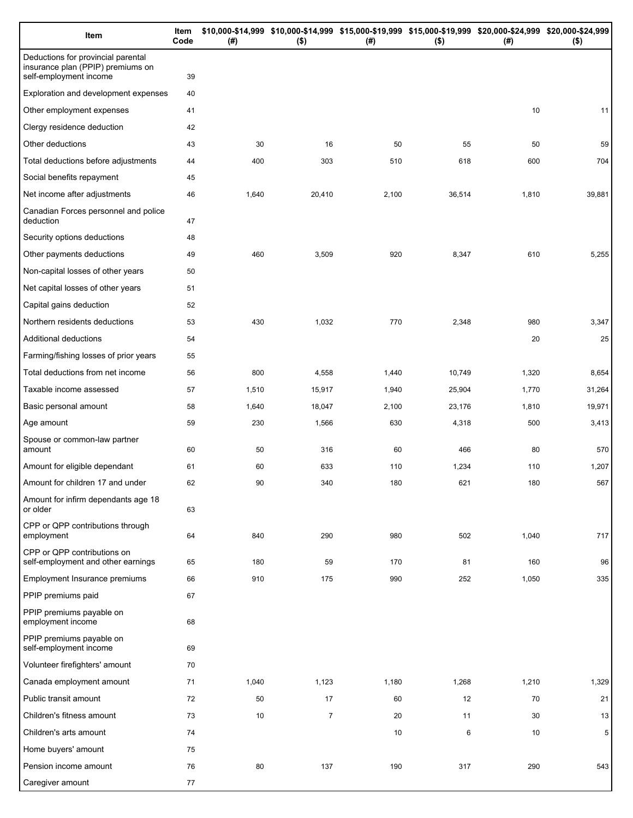| Item                                                                                              | Item<br>Code | (# )  | \$10,000-\$14,999 \$10,000-\$14,999 \$15,000-\$19,999 \$15,000-\$19,999 \$20,000-\$24,999 \$20,000-\$24,999<br>$($ \$) | (#)   | $($ \$) | (# )  | $($ \$) |
|---------------------------------------------------------------------------------------------------|--------------|-------|------------------------------------------------------------------------------------------------------------------------|-------|---------|-------|---------|
| Deductions for provincial parental<br>insurance plan (PPIP) premiums on<br>self-employment income | 39           |       |                                                                                                                        |       |         |       |         |
| Exploration and development expenses                                                              | 40           |       |                                                                                                                        |       |         |       |         |
| Other employment expenses                                                                         | 41           |       |                                                                                                                        |       |         | 10    | 11      |
| Clergy residence deduction                                                                        | 42           |       |                                                                                                                        |       |         |       |         |
| Other deductions                                                                                  | 43           | 30    | 16                                                                                                                     | 50    | 55      | 50    | 59      |
| Total deductions before adjustments                                                               | 44           | 400   | 303                                                                                                                    | 510   | 618     | 600   | 704     |
| Social benefits repayment                                                                         | 45           |       |                                                                                                                        |       |         |       |         |
| Net income after adjustments                                                                      | 46           | 1,640 | 20,410                                                                                                                 | 2,100 | 36,514  | 1,810 | 39,881  |
| Canadian Forces personnel and police<br>deduction                                                 | 47           |       |                                                                                                                        |       |         |       |         |
| Security options deductions                                                                       | 48           |       |                                                                                                                        |       |         |       |         |
| Other payments deductions                                                                         | 49           | 460   | 3,509                                                                                                                  | 920   | 8,347   | 610   | 5,255   |
| Non-capital losses of other years                                                                 | 50           |       |                                                                                                                        |       |         |       |         |
| Net capital losses of other years                                                                 | 51           |       |                                                                                                                        |       |         |       |         |
| Capital gains deduction                                                                           | 52           |       |                                                                                                                        |       |         |       |         |
| Northern residents deductions                                                                     | 53           | 430   | 1,032                                                                                                                  | 770   | 2,348   | 980   | 3,347   |
| Additional deductions                                                                             | 54           |       |                                                                                                                        |       |         | 20    | 25      |
| Farming/fishing losses of prior years                                                             | 55           |       |                                                                                                                        |       |         |       |         |
| Total deductions from net income                                                                  | 56           | 800   | 4,558                                                                                                                  | 1,440 | 10,749  | 1,320 | 8,654   |
| Taxable income assessed                                                                           | 57           | 1,510 | 15,917                                                                                                                 | 1,940 | 25,904  | 1,770 | 31,264  |
| Basic personal amount                                                                             | 58           | 1,640 | 18,047                                                                                                                 | 2,100 | 23,176  | 1,810 | 19,971  |
| Age amount                                                                                        | 59           | 230   | 1,566                                                                                                                  | 630   | 4,318   | 500   | 3,413   |
| Spouse or common-law partner<br>amount                                                            | 60           | 50    | 316                                                                                                                    | 60    | 466     | 80    | 570     |
| Amount for eligible dependant                                                                     | 61           | 60    | 633                                                                                                                    | 110   | 1,234   | 110   | 1,207   |
| Amount for children 17 and under                                                                  | 62           | 90    | 340                                                                                                                    | 180   | 621     | 180   | 567     |
| Amount for infirm dependants age 18<br>or older                                                   | 63           |       |                                                                                                                        |       |         |       |         |
| CPP or QPP contributions through<br>employment                                                    | 64           | 840   | 290                                                                                                                    | 980   | 502     | 1,040 | 717     |
| CPP or QPP contributions on<br>self-employment and other earnings                                 | 65           | 180   | 59                                                                                                                     | 170   | 81      | 160   | 96      |
| Employment Insurance premiums                                                                     | 66           | 910   | 175                                                                                                                    | 990   | 252     | 1,050 | 335     |
| PPIP premiums paid                                                                                | 67           |       |                                                                                                                        |       |         |       |         |
| PPIP premiums payable on<br>employment income                                                     | 68           |       |                                                                                                                        |       |         |       |         |
| PPIP premiums payable on<br>self-employment income                                                | 69           |       |                                                                                                                        |       |         |       |         |
| Volunteer firefighters' amount                                                                    | 70           |       |                                                                                                                        |       |         |       |         |
| Canada employment amount                                                                          | 71           | 1,040 | 1,123                                                                                                                  | 1,180 | 1,268   | 1,210 | 1,329   |
| Public transit amount                                                                             | 72           | 50    | 17                                                                                                                     | 60    | 12      | 70    | 21      |
| Children's fitness amount                                                                         | 73           | 10    | $\overline{7}$                                                                                                         | 20    | 11      | 30    | 13      |
| Children's arts amount                                                                            | 74           |       |                                                                                                                        | 10    | 6       | 10    | 5       |
| Home buyers' amount                                                                               | 75           |       |                                                                                                                        |       |         |       |         |
| Pension income amount                                                                             | 76           | 80    | 137                                                                                                                    | 190   | 317     | 290   | 543     |
| Caregiver amount                                                                                  | 77           |       |                                                                                                                        |       |         |       |         |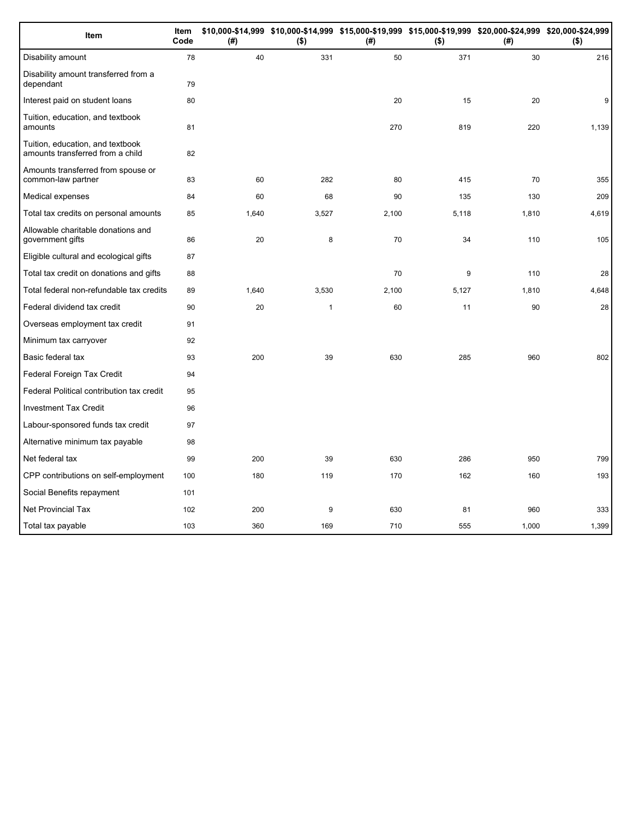| Item                                                                 | <b>Item</b><br>Code | (#)   | $($ \$)      | \$10,000-\$14,999 \$10,000-\$14,999 \$15,000-\$19,999 \$15,000-\$19,999 \$20,000-\$24,999 \$20,000-\$24,999<br>(#) | $($ \$) | (# )  | $($ \$) |
|----------------------------------------------------------------------|---------------------|-------|--------------|--------------------------------------------------------------------------------------------------------------------|---------|-------|---------|
| Disability amount                                                    | 78                  | 40    | 331          | 50                                                                                                                 | 371     | 30    | 216     |
| Disability amount transferred from a<br>dependant                    | 79                  |       |              |                                                                                                                    |         |       |         |
| Interest paid on student loans                                       | 80                  |       |              | 20                                                                                                                 | 15      | 20    | 9       |
| Tuition, education, and textbook<br>amounts                          | 81                  |       |              | 270                                                                                                                | 819     | 220   | 1,139   |
| Tuition, education, and textbook<br>amounts transferred from a child | 82                  |       |              |                                                                                                                    |         |       |         |
| Amounts transferred from spouse or<br>common-law partner             | 83                  | 60    | 282          | 80                                                                                                                 | 415     | 70    | 355     |
| Medical expenses                                                     | 84                  | 60    | 68           | 90                                                                                                                 | 135     | 130   | 209     |
| Total tax credits on personal amounts                                | 85                  | 1,640 | 3,527        | 2,100                                                                                                              | 5,118   | 1,810 | 4,619   |
| Allowable charitable donations and<br>government gifts               | 86                  | 20    | 8            | 70                                                                                                                 | 34      | 110   | 105     |
| Eligible cultural and ecological gifts                               | 87                  |       |              |                                                                                                                    |         |       |         |
| Total tax credit on donations and gifts                              | 88                  |       |              | 70                                                                                                                 | 9       | 110   | 28      |
| Total federal non-refundable tax credits                             | 89                  | 1,640 | 3,530        | 2,100                                                                                                              | 5,127   | 1,810 | 4,648   |
| Federal dividend tax credit                                          | 90                  | 20    | $\mathbf{1}$ | 60                                                                                                                 | 11      | 90    | 28      |
| Overseas employment tax credit                                       | 91                  |       |              |                                                                                                                    |         |       |         |
| Minimum tax carryover                                                | 92                  |       |              |                                                                                                                    |         |       |         |
| Basic federal tax                                                    | 93                  | 200   | 39           | 630                                                                                                                | 285     | 960   | 802     |
| Federal Foreign Tax Credit                                           | 94                  |       |              |                                                                                                                    |         |       |         |
| Federal Political contribution tax credit                            | 95                  |       |              |                                                                                                                    |         |       |         |
| <b>Investment Tax Credit</b>                                         | 96                  |       |              |                                                                                                                    |         |       |         |
| Labour-sponsored funds tax credit                                    | 97                  |       |              |                                                                                                                    |         |       |         |
| Alternative minimum tax payable                                      | 98                  |       |              |                                                                                                                    |         |       |         |
| Net federal tax                                                      | 99                  | 200   | 39           | 630                                                                                                                | 286     | 950   | 799     |
| CPP contributions on self-employment                                 | 100                 | 180   | 119          | 170                                                                                                                | 162     | 160   | 193     |
| Social Benefits repayment                                            | 101                 |       |              |                                                                                                                    |         |       |         |
| <b>Net Provincial Tax</b>                                            | 102                 | 200   | 9            | 630                                                                                                                | 81      | 960   | 333     |
| Total tax payable                                                    | 103                 | 360   | 169          | 710                                                                                                                | 555     | 1,000 | 1,399   |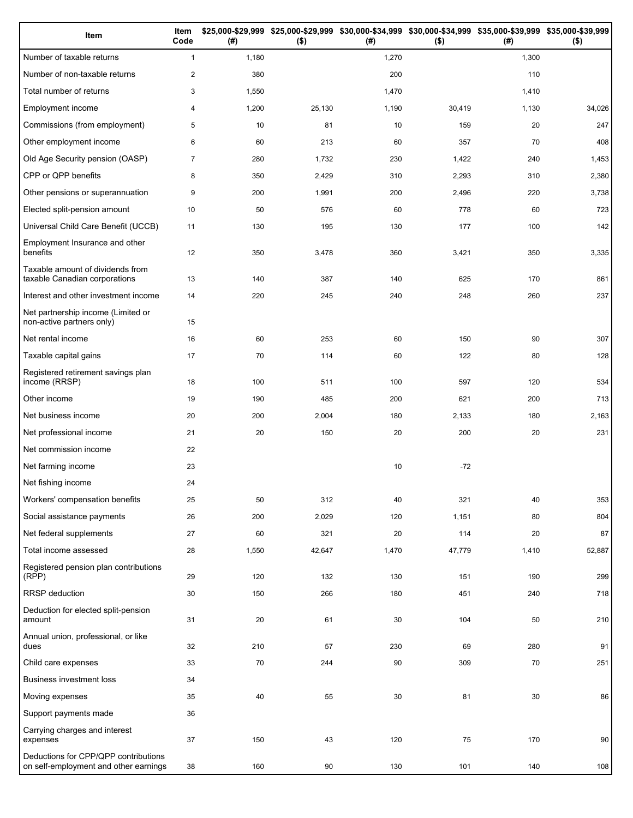| Item                                                                          | Item<br>Code   | (# )  | $($ \$) | (#)   | \$25,000-\$29,999 \$25,000-\$29,999 \$30,000-\$34,999 \$30,000-\$34,999 \$35,000-\$39,999 \$35,000-\$39,999<br>$($ \$) | (# )  | $($ \$) |
|-------------------------------------------------------------------------------|----------------|-------|---------|-------|------------------------------------------------------------------------------------------------------------------------|-------|---------|
| Number of taxable returns                                                     | $\mathbf{1}$   | 1,180 |         | 1,270 |                                                                                                                        | 1,300 |         |
| Number of non-taxable returns                                                 | $\overline{2}$ | 380   |         | 200   |                                                                                                                        | 110   |         |
| Total number of returns                                                       | 3              | 1,550 |         | 1,470 |                                                                                                                        | 1,410 |         |
| Employment income                                                             | 4              | 1,200 | 25,130  | 1,190 | 30,419                                                                                                                 | 1,130 | 34,026  |
| Commissions (from employment)                                                 | 5              | 10    | 81      | 10    | 159                                                                                                                    | 20    | 247     |
| Other employment income                                                       | 6              | 60    | 213     | 60    | 357                                                                                                                    | 70    | 408     |
| Old Age Security pension (OASP)                                               | $\overline{7}$ | 280   | 1,732   | 230   | 1,422                                                                                                                  | 240   | 1,453   |
| CPP or QPP benefits                                                           | 8              | 350   | 2,429   | 310   | 2,293                                                                                                                  | 310   | 2,380   |
| Other pensions or superannuation                                              | 9              | 200   | 1,991   | 200   | 2,496                                                                                                                  | 220   | 3,738   |
| Elected split-pension amount                                                  | 10             | 50    | 576     | 60    | 778                                                                                                                    | 60    | 723     |
| Universal Child Care Benefit (UCCB)                                           | 11             | 130   | 195     | 130   | 177                                                                                                                    | 100   | 142     |
| Employment Insurance and other<br>benefits                                    | 12             | 350   | 3,478   | 360   | 3,421                                                                                                                  | 350   | 3,335   |
| Taxable amount of dividends from<br>taxable Canadian corporations             | 13             | 140   | 387     | 140   | 625                                                                                                                    | 170   | 861     |
| Interest and other investment income                                          | 14             | 220   | 245     | 240   | 248                                                                                                                    | 260   | 237     |
| Net partnership income (Limited or<br>non-active partners only)               | 15             |       |         |       |                                                                                                                        |       |         |
| Net rental income                                                             | 16             | 60    | 253     | 60    | 150                                                                                                                    | 90    | 307     |
| Taxable capital gains                                                         | 17             | 70    | 114     | 60    | 122                                                                                                                    | 80    | 128     |
| Registered retirement savings plan<br>income (RRSP)                           | 18             | 100   | 511     | 100   | 597                                                                                                                    | 120   | 534     |
| Other income                                                                  | 19             | 190   | 485     | 200   | 621                                                                                                                    | 200   | 713     |
| Net business income                                                           | 20             | 200   | 2,004   | 180   | 2,133                                                                                                                  | 180   | 2,163   |
| Net professional income                                                       | 21             | 20    | 150     | 20    | 200                                                                                                                    | 20    | 231     |
| Net commission income                                                         | 22             |       |         |       |                                                                                                                        |       |         |
| Net farming income                                                            | 23             |       |         | 10    | $-72$                                                                                                                  |       |         |
| Net fishing income                                                            | 24             |       |         |       |                                                                                                                        |       |         |
| Workers' compensation benefits                                                | 25             | 50    | 312     | 40    | 321                                                                                                                    | 40    | 353     |
| Social assistance payments                                                    | 26             | 200   | 2,029   | 120   | 1,151                                                                                                                  | 80    | 804     |
| Net federal supplements                                                       | 27             | 60    | 321     | 20    | 114                                                                                                                    | 20    | 87      |
| Total income assessed                                                         | 28             | 1,550 | 42,647  | 1,470 | 47,779                                                                                                                 | 1,410 | 52,887  |
| Registered pension plan contributions<br>(RPP)                                | 29             | 120   | 132     | 130   | 151                                                                                                                    | 190   | 299     |
| RRSP deduction                                                                | 30             | 150   | 266     | 180   | 451                                                                                                                    | 240   | 718     |
| Deduction for elected split-pension<br>amount                                 | 31             | 20    | 61      | 30    | 104                                                                                                                    | 50    | 210     |
| Annual union, professional, or like<br>dues                                   | 32             | 210   | 57      | 230   | 69                                                                                                                     | 280   | 91      |
| Child care expenses                                                           | 33             | 70    | 244     | 90    | 309                                                                                                                    | 70    | 251     |
| <b>Business investment loss</b>                                               | 34             |       |         |       |                                                                                                                        |       |         |
| Moving expenses                                                               | 35             | 40    | 55      | 30    | 81                                                                                                                     | 30    | 86      |
| Support payments made                                                         | 36             |       |         |       |                                                                                                                        |       |         |
| Carrying charges and interest<br>expenses                                     | 37             | 150   | 43      | 120   | 75                                                                                                                     | 170   | 90      |
| Deductions for CPP/QPP contributions<br>on self-employment and other earnings | 38             | 160   | 90      | 130   | 101                                                                                                                    | 140   | 108     |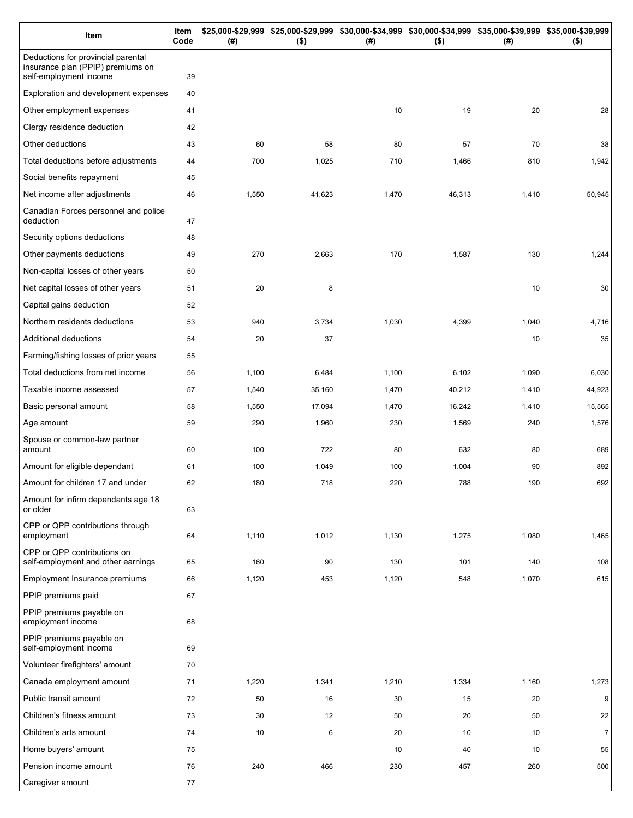| Item                                                                                              | Item<br>Code | (#)   | \$25,000-\$29,999 \$25,000-\$29,999 \$30,000-\$34,999 \$30,000-\$34,999 \$35,000-\$39,999 \$35,000-\$39,999<br>$($ \$) | (#)   | $($ \$) | (# )  | $($ \$)        |
|---------------------------------------------------------------------------------------------------|--------------|-------|------------------------------------------------------------------------------------------------------------------------|-------|---------|-------|----------------|
| Deductions for provincial parental<br>insurance plan (PPIP) premiums on<br>self-employment income | 39           |       |                                                                                                                        |       |         |       |                |
| Exploration and development expenses                                                              | 40           |       |                                                                                                                        |       |         |       |                |
| Other employment expenses                                                                         | 41           |       |                                                                                                                        | 10    | 19      | 20    | 28             |
| Clergy residence deduction                                                                        | 42           |       |                                                                                                                        |       |         |       |                |
| Other deductions                                                                                  | 43           | 60    | 58                                                                                                                     | 80    | 57      | 70    | 38             |
| Total deductions before adjustments                                                               | 44           | 700   | 1,025                                                                                                                  | 710   | 1,466   | 810   | 1,942          |
| Social benefits repayment                                                                         | 45           |       |                                                                                                                        |       |         |       |                |
| Net income after adjustments                                                                      | 46           | 1,550 | 41,623                                                                                                                 | 1,470 | 46,313  | 1,410 | 50,945         |
| Canadian Forces personnel and police<br>deduction                                                 | 47           |       |                                                                                                                        |       |         |       |                |
| Security options deductions                                                                       | 48           |       |                                                                                                                        |       |         |       |                |
| Other payments deductions                                                                         | 49           | 270   | 2,663                                                                                                                  | 170   | 1,587   | 130   | 1,244          |
| Non-capital losses of other years                                                                 | 50           |       |                                                                                                                        |       |         |       |                |
| Net capital losses of other years                                                                 | 51           | 20    | 8                                                                                                                      |       |         | 10    | 30             |
| Capital gains deduction                                                                           | 52           |       |                                                                                                                        |       |         |       |                |
| Northern residents deductions                                                                     | 53           | 940   | 3,734                                                                                                                  | 1,030 | 4,399   | 1,040 | 4,716          |
| Additional deductions                                                                             | 54           | 20    | 37                                                                                                                     |       |         | 10    | 35             |
| Farming/fishing losses of prior years                                                             | 55           |       |                                                                                                                        |       |         |       |                |
| Total deductions from net income                                                                  | 56           | 1,100 | 6,484                                                                                                                  | 1,100 | 6,102   | 1,090 | 6,030          |
| Taxable income assessed                                                                           | 57           | 1,540 | 35,160                                                                                                                 | 1,470 | 40,212  | 1,410 | 44,923         |
| Basic personal amount                                                                             | 58           | 1,550 | 17,094                                                                                                                 | 1,470 | 16,242  | 1,410 | 15,565         |
| Age amount                                                                                        | 59           | 290   | 1,960                                                                                                                  | 230   | 1,569   | 240   | 1,576          |
| Spouse or common-law partner<br>amount                                                            | 60           | 100   | 722                                                                                                                    | 80    | 632     | 80    | 689            |
| Amount for eligible dependant                                                                     | 61           | 100   | 1,049                                                                                                                  | 100   | 1,004   | 90    | 892            |
| Amount for children 17 and under                                                                  | 62           | 180   | 718                                                                                                                    | 220   | 788     | 190   | 692            |
| Amount for infirm dependants age 18<br>or older                                                   | 63           |       |                                                                                                                        |       |         |       |                |
| CPP or QPP contributions through<br>employment                                                    | 64           | 1,110 | 1,012                                                                                                                  | 1,130 | 1,275   | 1,080 | 1,465          |
| CPP or QPP contributions on<br>self-employment and other earnings                                 | 65           | 160   | 90                                                                                                                     | 130   | 101     | 140   | 108            |
| <b>Employment Insurance premiums</b>                                                              | 66           | 1,120 | 453                                                                                                                    | 1,120 | 548     | 1,070 | 615            |
| PPIP premiums paid                                                                                | 67           |       |                                                                                                                        |       |         |       |                |
| PPIP premiums payable on<br>employment income                                                     | 68           |       |                                                                                                                        |       |         |       |                |
| PPIP premiums payable on<br>self-employment income                                                | 69           |       |                                                                                                                        |       |         |       |                |
| Volunteer firefighters' amount                                                                    | 70           |       |                                                                                                                        |       |         |       |                |
| Canada employment amount                                                                          | 71           | 1,220 | 1,341                                                                                                                  | 1,210 | 1,334   | 1,160 | 1,273          |
| Public transit amount                                                                             | 72           | 50    | 16                                                                                                                     | 30    | 15      | 20    | 9              |
| Children's fitness amount                                                                         | 73           | 30    | 12                                                                                                                     | 50    | 20      | 50    | 22             |
| Children's arts amount                                                                            | 74           | 10    | 6                                                                                                                      | 20    | 10      | 10    | $\overline{7}$ |
| Home buyers' amount                                                                               | 75           |       |                                                                                                                        | 10    | 40      | 10    | 55             |
| Pension income amount                                                                             | 76           | 240   | 466                                                                                                                    | 230   | 457     | 260   | 500            |
| Caregiver amount                                                                                  | 77           |       |                                                                                                                        |       |         |       |                |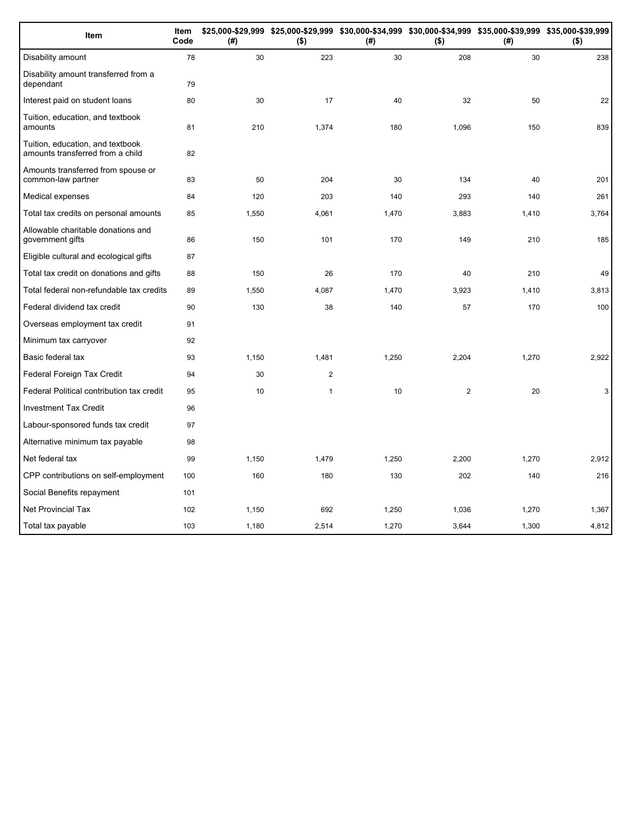| Item                                                                 | Item<br>Code | (#)   | \$25,000-\$29,999 \$25,000-\$29,999 \$30,000-\$34,999 \$30,000-\$34,999 \$35,000-\$39,999 \$35,000-\$39,999<br>$($ \$) | (#)   | $($ \$)        | (#)   | $($ \$) |
|----------------------------------------------------------------------|--------------|-------|------------------------------------------------------------------------------------------------------------------------|-------|----------------|-------|---------|
| Disability amount                                                    | 78           | 30    | 223                                                                                                                    | 30    | 208            | 30    | 238     |
| Disability amount transferred from a<br>dependant                    | 79           |       |                                                                                                                        |       |                |       |         |
| Interest paid on student loans                                       | 80           | 30    | 17                                                                                                                     | 40    | 32             | 50    | 22      |
| Tuition, education, and textbook<br>amounts                          | 81           | 210   | 1,374                                                                                                                  | 180   | 1,096          | 150   | 839     |
| Tuition, education, and textbook<br>amounts transferred from a child | 82           |       |                                                                                                                        |       |                |       |         |
| Amounts transferred from spouse or<br>common-law partner             | 83           | 50    | 204                                                                                                                    | 30    | 134            | 40    | 201     |
| Medical expenses                                                     | 84           | 120   | 203                                                                                                                    | 140   | 293            | 140   | 261     |
| Total tax credits on personal amounts                                | 85           | 1,550 | 4,061                                                                                                                  | 1,470 | 3,883          | 1,410 | 3,764   |
| Allowable charitable donations and<br>government gifts               | 86           | 150   | 101                                                                                                                    | 170   | 149            | 210   | 185     |
| Eligible cultural and ecological gifts                               | 87           |       |                                                                                                                        |       |                |       |         |
| Total tax credit on donations and gifts                              | 88           | 150   | 26                                                                                                                     | 170   | 40             | 210   | 49      |
| Total federal non-refundable tax credits                             | 89           | 1,550 | 4,087                                                                                                                  | 1,470 | 3,923          | 1,410 | 3,813   |
| Federal dividend tax credit                                          | 90           | 130   | 38                                                                                                                     | 140   | 57             | 170   | 100     |
| Overseas employment tax credit                                       | 91           |       |                                                                                                                        |       |                |       |         |
| Minimum tax carryover                                                | 92           |       |                                                                                                                        |       |                |       |         |
| Basic federal tax                                                    | 93           | 1,150 | 1,481                                                                                                                  | 1,250 | 2,204          | 1,270 | 2,922   |
| Federal Foreign Tax Credit                                           | 94           | 30    | $\mathbf{2}$                                                                                                           |       |                |       |         |
| Federal Political contribution tax credit                            | 95           | 10    | $\mathbf{1}$                                                                                                           | 10    | $\overline{2}$ | 20    | 3       |
| <b>Investment Tax Credit</b>                                         | 96           |       |                                                                                                                        |       |                |       |         |
| Labour-sponsored funds tax credit                                    | 97           |       |                                                                                                                        |       |                |       |         |
| Alternative minimum tax payable                                      | 98           |       |                                                                                                                        |       |                |       |         |
| Net federal tax                                                      | 99           | 1,150 | 1,479                                                                                                                  | 1,250 | 2,200          | 1,270 | 2,912   |
| CPP contributions on self-employment                                 | 100          | 160   | 180                                                                                                                    | 130   | 202            | 140   | 216     |
| Social Benefits repayment                                            | 101          |       |                                                                                                                        |       |                |       |         |
| Net Provincial Tax                                                   | 102          | 1,150 | 692                                                                                                                    | 1,250 | 1.036          | 1,270 | 1,367   |
| Total tax payable                                                    | 103          | 1,180 | 2,514                                                                                                                  | 1,270 | 3,644          | 1,300 | 4,812   |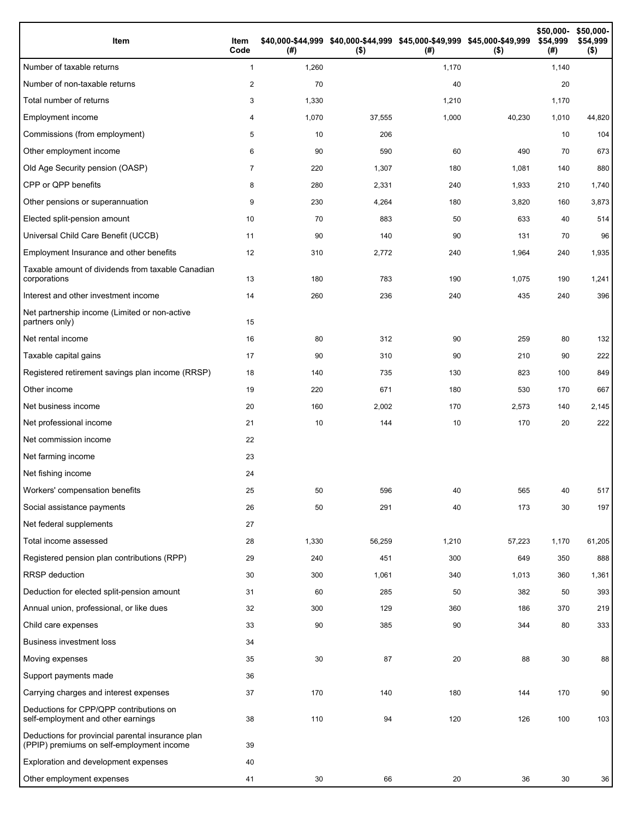| Item                                                                                           | Item<br>Code   | (#)   | \$40,000-\$44,999 \$40,000-\$44,999 \$45,000-\$49,999 \$45,000-\$49,999<br>$($ \$) | (#)   | $($ \$) | \$50,000-<br>\$54,999<br>(#) | \$50,000-<br>\$54,999<br>$($ \$) |
|------------------------------------------------------------------------------------------------|----------------|-------|------------------------------------------------------------------------------------|-------|---------|------------------------------|----------------------------------|
| Number of taxable returns                                                                      | $\mathbf{1}$   | 1,260 |                                                                                    | 1,170 |         | 1,140                        |                                  |
| Number of non-taxable returns                                                                  | 2              | 70    |                                                                                    | 40    |         | 20                           |                                  |
| Total number of returns                                                                        | 3              | 1,330 |                                                                                    | 1,210 |         | 1,170                        |                                  |
| Employment income                                                                              | 4              | 1,070 | 37,555                                                                             | 1,000 | 40,230  | 1,010                        | 44,820                           |
| Commissions (from employment)                                                                  | 5              | 10    | 206                                                                                |       |         | 10                           | 104                              |
| Other employment income                                                                        | 6              | 90    | 590                                                                                | 60    | 490     | 70                           | 673                              |
| Old Age Security pension (OASP)                                                                | $\overline{7}$ | 220   | 1,307                                                                              | 180   | 1,081   | 140                          | 880                              |
| CPP or QPP benefits                                                                            | 8              | 280   | 2,331                                                                              | 240   | 1,933   | 210                          | 1,740                            |
| Other pensions or superannuation                                                               | 9              | 230   | 4,264                                                                              | 180   | 3,820   | 160                          | 3,873                            |
| Elected split-pension amount                                                                   | 10             | 70    | 883                                                                                | 50    | 633     | 40                           | 514                              |
| Universal Child Care Benefit (UCCB)                                                            | 11             | 90    | 140                                                                                | 90    | 131     | 70                           | 96                               |
| Employment Insurance and other benefits                                                        | 12             | 310   | 2,772                                                                              | 240   | 1,964   | 240                          | 1,935                            |
| Taxable amount of dividends from taxable Canadian<br>corporations                              | 13             | 180   | 783                                                                                | 190   | 1,075   | 190                          | 1,241                            |
| Interest and other investment income                                                           | 14             | 260   | 236                                                                                | 240   | 435     | 240                          | 396                              |
| Net partnership income (Limited or non-active<br>partners only)                                | 15             |       |                                                                                    |       |         |                              |                                  |
| Net rental income                                                                              | 16             | 80    | 312                                                                                | 90    | 259     | 80                           | 132                              |
| Taxable capital gains                                                                          | 17             | 90    | 310                                                                                | 90    | 210     | 90                           | 222                              |
| Registered retirement savings plan income (RRSP)                                               | 18             | 140   | 735                                                                                | 130   | 823     | 100                          | 849                              |
| Other income                                                                                   | 19             | 220   | 671                                                                                | 180   | 530     | 170                          | 667                              |
| Net business income                                                                            | 20             | 160   | 2,002                                                                              | 170   | 2,573   | 140                          | 2,145                            |
| Net professional income                                                                        | 21             | 10    | 144                                                                                | 10    | 170     | 20                           | 222                              |
| Net commission income                                                                          | 22             |       |                                                                                    |       |         |                              |                                  |
| Net farming income                                                                             | 23             |       |                                                                                    |       |         |                              |                                  |
| Net fishing income                                                                             | 24             |       |                                                                                    |       |         |                              |                                  |
| Workers' compensation benefits                                                                 | 25             | 50    | 596                                                                                | 40    | 565     | 40                           | 517                              |
| Social assistance payments                                                                     | 26             | 50    | 291                                                                                | 40    | 173     | 30                           | 197                              |
| Net federal supplements                                                                        | 27             |       |                                                                                    |       |         |                              |                                  |
| Total income assessed                                                                          | 28             | 1,330 | 56,259                                                                             | 1,210 | 57,223  | 1,170                        | 61,205                           |
| Registered pension plan contributions (RPP)                                                    | 29             | 240   | 451                                                                                | 300   | 649     | 350                          | 888                              |
| RRSP deduction                                                                                 | 30             | 300   | 1,061                                                                              | 340   | 1,013   | 360                          | 1,361                            |
| Deduction for elected split-pension amount                                                     | 31             | 60    | 285                                                                                | 50    | 382     | 50                           | 393                              |
| Annual union, professional, or like dues                                                       | 32             | 300   | 129                                                                                | 360   | 186     | 370                          | 219                              |
| Child care expenses                                                                            | 33             | 90    | 385                                                                                | 90    | 344     | 80                           | 333                              |
| <b>Business investment loss</b>                                                                | 34             |       |                                                                                    |       |         |                              |                                  |
| Moving expenses                                                                                | 35             | 30    | 87                                                                                 | 20    | 88      | 30                           | 88                               |
| Support payments made                                                                          | 36             |       |                                                                                    |       |         |                              |                                  |
| Carrying charges and interest expenses                                                         | 37             | 170   | 140                                                                                | 180   | 144     | 170                          | 90                               |
| Deductions for CPP/QPP contributions on<br>self-employment and other earnings                  | 38             | 110   | 94                                                                                 | 120   | 126     | 100                          | 103                              |
| Deductions for provincial parental insurance plan<br>(PPIP) premiums on self-employment income | 39             |       |                                                                                    |       |         |                              |                                  |
| Exploration and development expenses                                                           | 40             |       |                                                                                    |       |         |                              |                                  |
| Other employment expenses                                                                      | 41             | 30    | 66                                                                                 | 20    | 36      | 30                           | 36                               |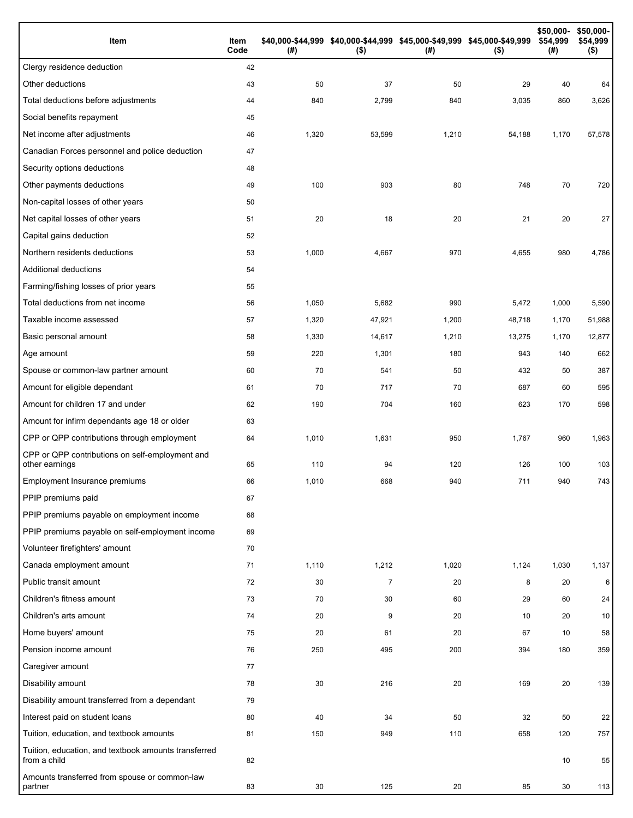| Item                                                                 | Item<br>Code | (# )  | \$40,000-\$44,999 \$40,000-\$44,999 \$45,000-\$49,999 \$45,000-\$49,999<br>$($ \$) | (#)   | $($ \$) | \$50,000-<br>\$54,999<br>(#) | \$50,000-<br>\$54,999<br>$($ \$) |
|----------------------------------------------------------------------|--------------|-------|------------------------------------------------------------------------------------|-------|---------|------------------------------|----------------------------------|
| Clergy residence deduction                                           | 42           |       |                                                                                    |       |         |                              |                                  |
| Other deductions                                                     | 43           | 50    | 37                                                                                 | 50    | 29      | 40                           | 64                               |
| Total deductions before adjustments                                  | 44           | 840   | 2,799                                                                              | 840   | 3,035   | 860                          | 3,626                            |
| Social benefits repayment                                            | 45           |       |                                                                                    |       |         |                              |                                  |
| Net income after adjustments                                         | 46           | 1,320 | 53,599                                                                             | 1,210 | 54,188  | 1,170                        | 57,578                           |
| Canadian Forces personnel and police deduction                       | 47           |       |                                                                                    |       |         |                              |                                  |
| Security options deductions                                          | 48           |       |                                                                                    |       |         |                              |                                  |
| Other payments deductions                                            | 49           | 100   | 903                                                                                | 80    | 748     | 70                           | 720                              |
| Non-capital losses of other years                                    | 50           |       |                                                                                    |       |         |                              |                                  |
| Net capital losses of other years                                    | 51           | 20    | 18                                                                                 | 20    | 21      | 20                           | 27                               |
| Capital gains deduction                                              | 52           |       |                                                                                    |       |         |                              |                                  |
| Northern residents deductions                                        | 53           | 1,000 | 4,667                                                                              | 970   | 4,655   | 980                          | 4,786                            |
| Additional deductions                                                | 54           |       |                                                                                    |       |         |                              |                                  |
| Farming/fishing losses of prior years                                | 55           |       |                                                                                    |       |         |                              |                                  |
| Total deductions from net income                                     | 56           | 1,050 | 5,682                                                                              | 990   | 5,472   | 1,000                        | 5,590                            |
| Taxable income assessed                                              | 57           | 1,320 | 47,921                                                                             | 1,200 | 48,718  | 1,170                        | 51,988                           |
| Basic personal amount                                                | 58           | 1,330 | 14,617                                                                             | 1,210 | 13,275  | 1,170                        | 12,877                           |
| Age amount                                                           | 59           | 220   | 1,301                                                                              | 180   | 943     | 140                          | 662                              |
| Spouse or common-law partner amount                                  | 60           | 70    | 541                                                                                | 50    | 432     | 50                           | 387                              |
| Amount for eligible dependant                                        | 61           | 70    | 717                                                                                | 70    | 687     | 60                           | 595                              |
| Amount for children 17 and under                                     | 62           | 190   | 704                                                                                | 160   | 623     | 170                          | 598                              |
| Amount for infirm dependants age 18 or older                         | 63           |       |                                                                                    |       |         |                              |                                  |
| CPP or QPP contributions through employment                          | 64           | 1,010 | 1,631                                                                              | 950   | 1,767   | 960                          | 1,963                            |
| CPP or QPP contributions on self-employment and<br>other earnings    | 65           | 110   | 94                                                                                 | 120   | 126     | 100                          | 103                              |
| Employment Insurance premiums                                        | 66           | 1,010 | 668                                                                                | 940   | 711     | 940                          | 743                              |
| PPIP premiums paid                                                   | 67           |       |                                                                                    |       |         |                              |                                  |
| PPIP premiums payable on employment income                           | 68           |       |                                                                                    |       |         |                              |                                  |
| PPIP premiums payable on self-employment income                      | 69           |       |                                                                                    |       |         |                              |                                  |
| Volunteer firefighters' amount                                       | 70           |       |                                                                                    |       |         |                              |                                  |
| Canada employment amount                                             | 71           | 1,110 | 1,212                                                                              | 1,020 | 1,124   | 1,030                        | 1,137                            |
| Public transit amount                                                | 72           | 30    | $\overline{7}$                                                                     | 20    | 8       | 20                           | 6                                |
| Children's fitness amount                                            | 73           | 70    | 30                                                                                 | 60    | 29      | 60                           | 24                               |
| Children's arts amount                                               | 74           | 20    | 9                                                                                  | 20    | 10      | 20                           | 10                               |
| Home buyers' amount                                                  | 75           | 20    | 61                                                                                 | 20    | 67      | 10                           | 58                               |
| Pension income amount                                                | 76           | 250   | 495                                                                                | 200   | 394     | 180                          | 359                              |
| Caregiver amount                                                     | 77           |       |                                                                                    |       |         |                              |                                  |
| Disability amount                                                    | 78           | 30    | 216                                                                                | 20    | 169     | 20                           | 139                              |
| Disability amount transferred from a dependant                       | 79           |       |                                                                                    |       |         |                              |                                  |
| Interest paid on student loans                                       | 80           | 40    | 34                                                                                 | 50    | 32      | 50                           | 22                               |
| Tuition, education, and textbook amounts                             | 81           | 150   | 949                                                                                | 110   | 658     | 120                          | 757                              |
| Tuition, education, and textbook amounts transferred<br>from a child | 82           |       |                                                                                    |       |         | 10                           | 55                               |
| Amounts transferred from spouse or common-law<br>partner             | 83           | 30    | 125                                                                                | 20    | 85      | 30                           | 113                              |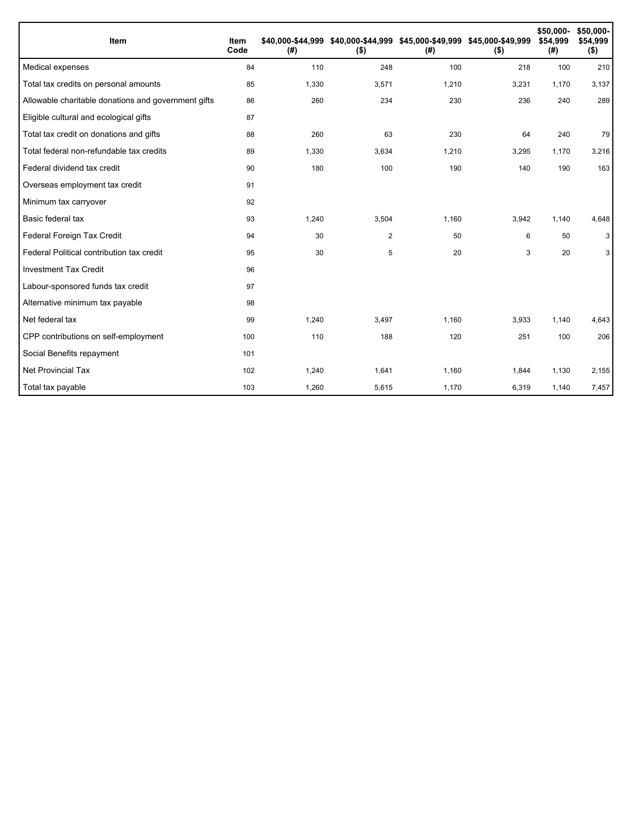| Item                                                | Item<br>Code | (#)   | \$40,000-\$44,999 \$40,000-\$44,999 \$45,000-\$49,999 \$45,000-\$49,999<br>$($ \$) | (#)   | $($ \$) | \$50,000-<br>\$54,999<br>(#) | \$50,000-<br>\$54,999<br>$($ \$) |
|-----------------------------------------------------|--------------|-------|------------------------------------------------------------------------------------|-------|---------|------------------------------|----------------------------------|
| Medical expenses                                    | 84           | 110   | 248                                                                                | 100   | 218     | 100                          | 210                              |
| Total tax credits on personal amounts               | 85           | 1,330 | 3,571                                                                              | 1,210 | 3,231   | 1,170                        | 3,137                            |
| Allowable charitable donations and government gifts | 86           | 260   | 234                                                                                | 230   | 236     | 240                          | 289                              |
| Eligible cultural and ecological gifts              | 87           |       |                                                                                    |       |         |                              |                                  |
| Total tax credit on donations and gifts             | 88           | 260   | 63                                                                                 | 230   | 64      | 240                          | 79                               |
| Total federal non-refundable tax credits            | 89           | 1,330 | 3,634                                                                              | 1,210 | 3,295   | 1,170                        | 3,216                            |
| Federal dividend tax credit                         | 90           | 180   | 100                                                                                | 190   | 140     | 190                          | 163                              |
| Overseas employment tax credit                      | 91           |       |                                                                                    |       |         |                              |                                  |
| Minimum tax carryover                               | 92           |       |                                                                                    |       |         |                              |                                  |
| Basic federal tax                                   | 93           | 1,240 | 3,504                                                                              | 1,160 | 3,942   | 1,140                        | 4,648                            |
| Federal Foreign Tax Credit                          | 94           | 30    | 2                                                                                  | 50    | 6       | 50                           | 3                                |
| Federal Political contribution tax credit           | 95           | 30    | 5                                                                                  | 20    | 3       | 20                           | 3                                |
| <b>Investment Tax Credit</b>                        | 96           |       |                                                                                    |       |         |                              |                                  |
| Labour-sponsored funds tax credit                   | 97           |       |                                                                                    |       |         |                              |                                  |
| Alternative minimum tax payable                     | 98           |       |                                                                                    |       |         |                              |                                  |
| Net federal tax                                     | 99           | 1,240 | 3,497                                                                              | 1.160 | 3,933   | 1,140                        | 4,643                            |
| CPP contributions on self-employment                | 100          | 110   | 188                                                                                | 120   | 251     | 100                          | 206                              |
| Social Benefits repayment                           | 101          |       |                                                                                    |       |         |                              |                                  |
| Net Provincial Tax                                  | 102          | 1,240 | 1,641                                                                              | 1,160 | 1,844   | 1,130                        | 2,155                            |
| Total tax payable                                   | 103          | 1,260 | 5,615                                                                              | 1,170 | 6,319   | 1,140                        | 7,457                            |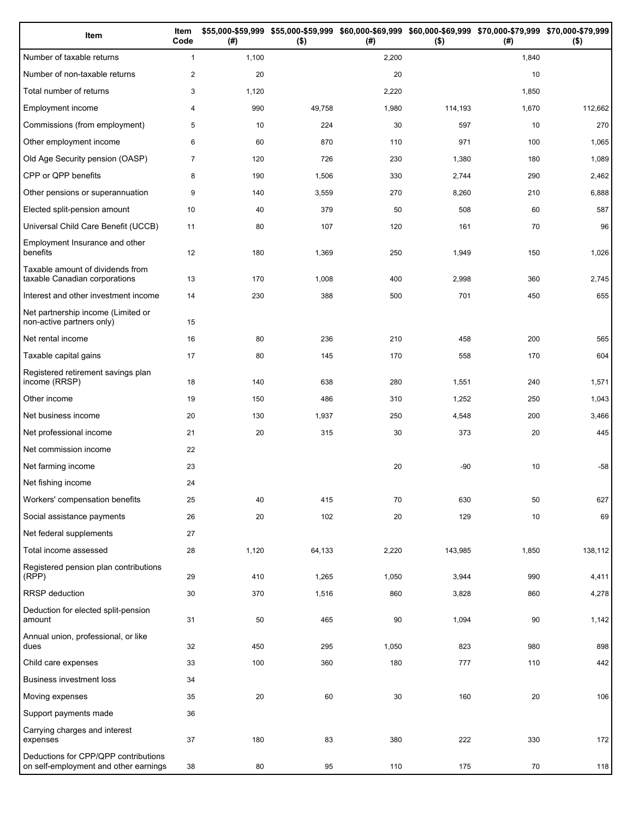| Item                                                                          | Item<br>Code   | (# )  | \$55,000-\$59,999 \$55,000-\$59,999<br>$($ \$) | (# )  | \$60,000-\$69,999 \$60,000-\$69,999 \$70,000-\$79,999 \$70,000-\$79,999<br>$($ \$) | (#)   | $($ \$) |
|-------------------------------------------------------------------------------|----------------|-------|------------------------------------------------|-------|------------------------------------------------------------------------------------|-------|---------|
| Number of taxable returns                                                     | $\mathbf{1}$   | 1,100 |                                                | 2,200 |                                                                                    | 1,840 |         |
| Number of non-taxable returns                                                 | $\mathbf{2}$   | 20    |                                                | 20    |                                                                                    | 10    |         |
| Total number of returns                                                       | 3              | 1,120 |                                                | 2,220 |                                                                                    | 1,850 |         |
| Employment income                                                             | 4              | 990   | 49,758                                         | 1,980 | 114,193                                                                            | 1,670 | 112,662 |
| Commissions (from employment)                                                 | 5              | 10    | 224                                            | 30    | 597                                                                                | 10    | 270     |
| Other employment income                                                       | 6              | 60    | 870                                            | 110   | 971                                                                                | 100   | 1,065   |
| Old Age Security pension (OASP)                                               | $\overline{7}$ | 120   | 726                                            | 230   | 1,380                                                                              | 180   | 1,089   |
| CPP or QPP benefits                                                           | 8              | 190   | 1,506                                          | 330   | 2,744                                                                              | 290   | 2,462   |
| Other pensions or superannuation                                              | 9              | 140   | 3,559                                          | 270   | 8,260                                                                              | 210   | 6,888   |
| Elected split-pension amount                                                  | 10             | 40    | 379                                            | 50    | 508                                                                                | 60    | 587     |
| Universal Child Care Benefit (UCCB)                                           | 11             | 80    | 107                                            | 120   | 161                                                                                | 70    | 96      |
| Employment Insurance and other<br>benefits                                    | 12             | 180   | 1,369                                          | 250   | 1,949                                                                              | 150   | 1,026   |
| Taxable amount of dividends from<br>taxable Canadian corporations             | 13             | 170   | 1,008                                          | 400   | 2,998                                                                              | 360   | 2,745   |
| Interest and other investment income                                          | 14             | 230   | 388                                            | 500   | 701                                                                                | 450   | 655     |
| Net partnership income (Limited or<br>non-active partners only)               | 15             |       |                                                |       |                                                                                    |       |         |
| Net rental income                                                             | 16             | 80    | 236                                            | 210   | 458                                                                                | 200   | 565     |
| Taxable capital gains                                                         | 17             | 80    | 145                                            | 170   | 558                                                                                | 170   | 604     |
| Registered retirement savings plan<br>income (RRSP)                           | 18             | 140   | 638                                            | 280   | 1,551                                                                              | 240   | 1,571   |
| Other income                                                                  | 19             | 150   | 486                                            | 310   | 1,252                                                                              | 250   | 1,043   |
| Net business income                                                           | 20             | 130   | 1,937                                          | 250   | 4,548                                                                              | 200   | 3,466   |
| Net professional income                                                       | 21             | 20    | 315                                            | 30    | 373                                                                                | 20    | 445     |
| Net commission income                                                         | 22             |       |                                                |       |                                                                                    |       |         |
| Net farming income                                                            | 23             |       |                                                | 20    | $-90$                                                                              | 10    | $-58$   |
| Net fishing income                                                            | 24             |       |                                                |       |                                                                                    |       |         |
| Workers' compensation benefits                                                | 25             | 40    | 415                                            | 70    | 630                                                                                | 50    | 627     |
| Social assistance payments                                                    | 26             | 20    | 102                                            | 20    | 129                                                                                | 10    | 69      |
| Net federal supplements                                                       | 27             |       |                                                |       |                                                                                    |       |         |
| Total income assessed                                                         | 28             | 1,120 | 64,133                                         | 2,220 | 143,985                                                                            | 1,850 | 138,112 |
| Registered pension plan contributions<br>(RPP)                                | 29             | 410   | 1,265                                          | 1,050 | 3,944                                                                              | 990   | 4,411   |
| RRSP deduction                                                                | 30             | 370   | 1,516                                          | 860   | 3,828                                                                              | 860   | 4,278   |
| Deduction for elected split-pension<br>amount                                 | 31             | 50    | 465                                            | 90    | 1,094                                                                              | 90    | 1,142   |
| Annual union, professional, or like<br>dues                                   | 32             | 450   | 295                                            | 1,050 | 823                                                                                | 980   | 898     |
| Child care expenses                                                           | 33             | 100   | 360                                            | 180   | 777                                                                                | 110   | 442     |
| Business investment loss                                                      | 34             |       |                                                |       |                                                                                    |       |         |
| Moving expenses                                                               | 35             | 20    | 60                                             | 30    | 160                                                                                | 20    | 106     |
| Support payments made                                                         | 36             |       |                                                |       |                                                                                    |       |         |
| Carrying charges and interest<br>expenses                                     | $37\,$         | 180   | 83                                             | 380   | 222                                                                                | 330   | 172     |
| Deductions for CPP/QPP contributions<br>on self-employment and other earnings | 38             | 80    | 95                                             | 110   | 175                                                                                | 70    | 118     |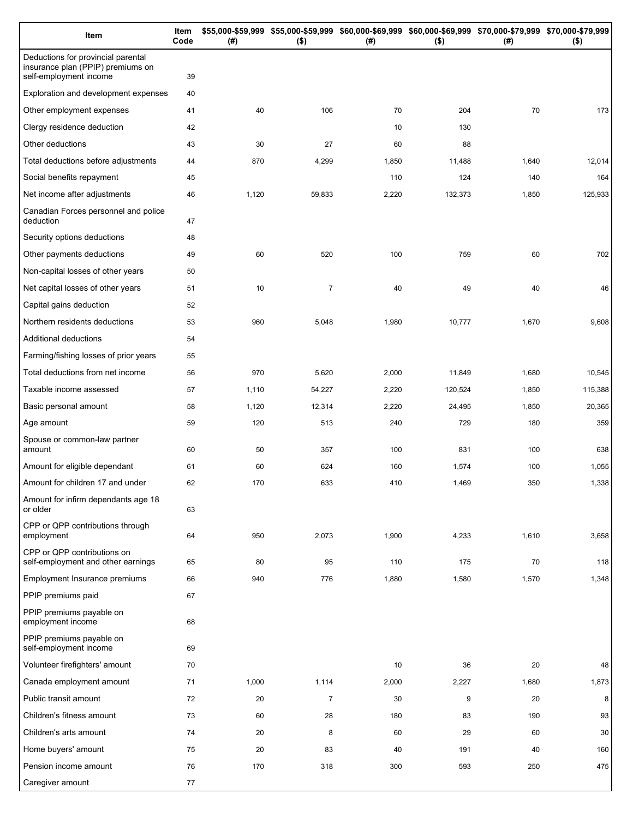| Item                                                                                              | Item<br>Code | (# )  | \$55,000-\$59,999 \$55,000-\$59,999 \$60,000-\$69,999 \$60,000-\$69,999 \$70,000-\$79,999 \$70,000-\$79,999<br>$($ \$) | (#)   | $($ \$) | (# )  | $($ \$) |
|---------------------------------------------------------------------------------------------------|--------------|-------|------------------------------------------------------------------------------------------------------------------------|-------|---------|-------|---------|
| Deductions for provincial parental<br>insurance plan (PPIP) premiums on<br>self-employment income | 39           |       |                                                                                                                        |       |         |       |         |
| Exploration and development expenses                                                              | 40           |       |                                                                                                                        |       |         |       |         |
| Other employment expenses                                                                         | 41           | 40    | 106                                                                                                                    | 70    | 204     | 70    | 173     |
| Clergy residence deduction                                                                        | 42           |       |                                                                                                                        | 10    | 130     |       |         |
| Other deductions                                                                                  | 43           | 30    | 27                                                                                                                     | 60    | 88      |       |         |
| Total deductions before adjustments                                                               | 44           | 870   | 4,299                                                                                                                  | 1,850 | 11,488  | 1,640 | 12,014  |
| Social benefits repayment                                                                         | 45           |       |                                                                                                                        | 110   | 124     | 140   | 164     |
| Net income after adjustments                                                                      | 46           | 1,120 | 59,833                                                                                                                 | 2,220 | 132,373 | 1,850 | 125,933 |
| Canadian Forces personnel and police<br>deduction                                                 | 47           |       |                                                                                                                        |       |         |       |         |
| Security options deductions                                                                       | 48           |       |                                                                                                                        |       |         |       |         |
| Other payments deductions                                                                         | 49           | 60    | 520                                                                                                                    | 100   | 759     | 60    | 702     |
| Non-capital losses of other years                                                                 | 50           |       |                                                                                                                        |       |         |       |         |
| Net capital losses of other years                                                                 | 51           | 10    | $\overline{7}$                                                                                                         | 40    | 49      | 40    | 46      |
| Capital gains deduction                                                                           | 52           |       |                                                                                                                        |       |         |       |         |
| Northern residents deductions                                                                     | 53           | 960   | 5,048                                                                                                                  | 1,980 | 10,777  | 1,670 | 9,608   |
| Additional deductions                                                                             | 54           |       |                                                                                                                        |       |         |       |         |
| Farming/fishing losses of prior years                                                             | 55           |       |                                                                                                                        |       |         |       |         |
| Total deductions from net income                                                                  | 56           | 970   | 5,620                                                                                                                  | 2,000 | 11,849  | 1,680 | 10,545  |
| Taxable income assessed                                                                           | 57           | 1,110 | 54,227                                                                                                                 | 2,220 | 120,524 | 1,850 | 115,388 |
| Basic personal amount                                                                             | 58           | 1,120 | 12,314                                                                                                                 | 2,220 | 24,495  | 1,850 | 20,365  |
| Age amount                                                                                        | 59           | 120   | 513                                                                                                                    | 240   | 729     | 180   | 359     |
| Spouse or common-law partner<br>amount                                                            | 60           | 50    | 357                                                                                                                    | 100   | 831     | 100   | 638     |
| Amount for eligible dependant                                                                     | 61           | 60    | 624                                                                                                                    | 160   | 1,574   | 100   | 1,055   |
| Amount for children 17 and under                                                                  | 62           | 170   | 633                                                                                                                    | 410   | 1,469   | 350   | 1,338   |
| Amount for infirm dependants age 18<br>or older                                                   | 63           |       |                                                                                                                        |       |         |       |         |
| CPP or QPP contributions through<br>employment                                                    | 64           | 950   | 2,073                                                                                                                  | 1,900 | 4,233   | 1,610 | 3,658   |
| CPP or QPP contributions on<br>self-employment and other earnings                                 | 65           | 80    | 95                                                                                                                     | 110   | 175     | 70    | 118     |
| Employment Insurance premiums                                                                     | 66           | 940   | 776                                                                                                                    | 1,880 | 1,580   | 1,570 | 1,348   |
| PPIP premiums paid                                                                                | 67           |       |                                                                                                                        |       |         |       |         |
| PPIP premiums payable on<br>employment income                                                     | 68           |       |                                                                                                                        |       |         |       |         |
| PPIP premiums payable on<br>self-employment income                                                | 69           |       |                                                                                                                        |       |         |       |         |
| Volunteer firefighters' amount                                                                    | 70           |       |                                                                                                                        | 10    | 36      | 20    | 48      |
| Canada employment amount                                                                          | 71           | 1,000 | 1,114                                                                                                                  | 2,000 | 2,227   | 1,680 | 1,873   |
| Public transit amount                                                                             | 72           | 20    | $\overline{7}$                                                                                                         | 30    | 9       | 20    | 8       |
| Children's fitness amount                                                                         | 73           | 60    | 28                                                                                                                     | 180   | 83      | 190   | 93      |
| Children's arts amount                                                                            | 74           | 20    | 8                                                                                                                      | 60    | 29      | 60    | 30      |
| Home buyers' amount                                                                               | 75           | 20    | 83                                                                                                                     | 40    | 191     | 40    | 160     |
| Pension income amount                                                                             | 76           | 170   | 318                                                                                                                    | 300   | 593     | 250   | 475     |
| Caregiver amount                                                                                  | 77           |       |                                                                                                                        |       |         |       |         |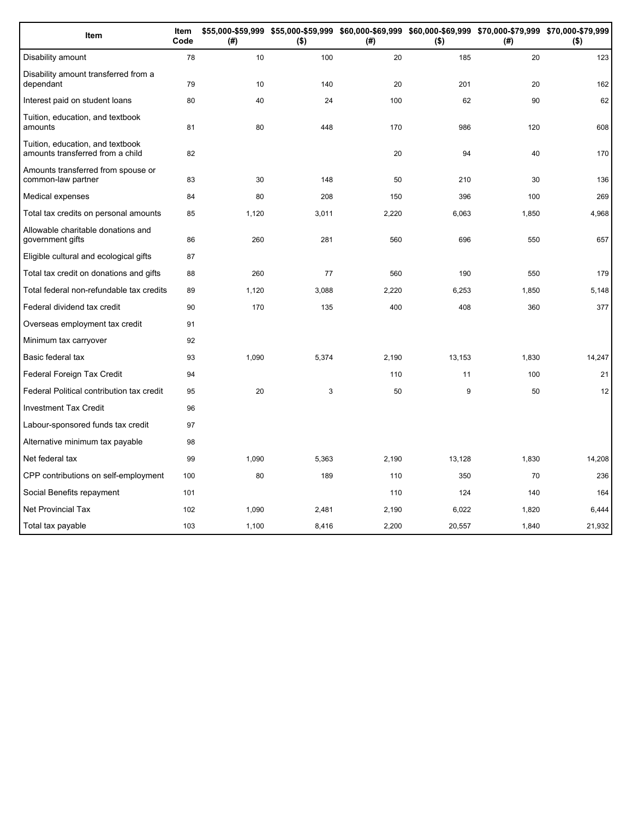| Item                                                                 | Item<br>Code | (#)   | \$55,000-\$59,999 \$55,000-\$59,999 \$60,000-\$69,999 \$60,000-\$69,999 \$70,000-\$79,999 \$70,000-\$79,999<br>$($ \$) | (# )  | ( \$)  | (#)   | $($ \$) |
|----------------------------------------------------------------------|--------------|-------|------------------------------------------------------------------------------------------------------------------------|-------|--------|-------|---------|
| Disability amount                                                    | 78           | 10    | 100                                                                                                                    | 20    | 185    | 20    | 123     |
| Disability amount transferred from a<br>dependant                    | 79           | 10    | 140                                                                                                                    | 20    | 201    | 20    | 162     |
| Interest paid on student loans                                       | 80           | 40    | 24                                                                                                                     | 100   | 62     | 90    | 62      |
| Tuition, education, and textbook<br>amounts                          | 81           | 80    | 448                                                                                                                    | 170   | 986    | 120   | 608     |
| Tuition, education, and textbook<br>amounts transferred from a child | 82           |       |                                                                                                                        | 20    | 94     | 40    | 170     |
| Amounts transferred from spouse or<br>common-law partner             | 83           | 30    | 148                                                                                                                    | 50    | 210    | 30    | 136     |
| Medical expenses                                                     | 84           | 80    | 208                                                                                                                    | 150   | 396    | 100   | 269     |
| Total tax credits on personal amounts                                | 85           | 1,120 | 3,011                                                                                                                  | 2,220 | 6,063  | 1,850 | 4,968   |
| Allowable charitable donations and<br>government gifts               | 86           | 260   | 281                                                                                                                    | 560   | 696    | 550   | 657     |
| Eligible cultural and ecological gifts                               | 87           |       |                                                                                                                        |       |        |       |         |
| Total tax credit on donations and gifts                              | 88           | 260   | 77                                                                                                                     | 560   | 190    | 550   | 179     |
| Total federal non-refundable tax credits                             | 89           | 1,120 | 3,088                                                                                                                  | 2,220 | 6,253  | 1,850 | 5,148   |
| Federal dividend tax credit                                          | 90           | 170   | 135                                                                                                                    | 400   | 408    | 360   | 377     |
| Overseas employment tax credit                                       | 91           |       |                                                                                                                        |       |        |       |         |
| Minimum tax carryover                                                | 92           |       |                                                                                                                        |       |        |       |         |
| Basic federal tax                                                    | 93           | 1,090 | 5,374                                                                                                                  | 2,190 | 13,153 | 1,830 | 14,247  |
| Federal Foreign Tax Credit                                           | 94           |       |                                                                                                                        | 110   | 11     | 100   | 21      |
| Federal Political contribution tax credit                            | 95           | 20    | 3                                                                                                                      | 50    | 9      | 50    | 12      |
| <b>Investment Tax Credit</b>                                         | 96           |       |                                                                                                                        |       |        |       |         |
| Labour-sponsored funds tax credit                                    | 97           |       |                                                                                                                        |       |        |       |         |
| Alternative minimum tax payable                                      | 98           |       |                                                                                                                        |       |        |       |         |
| Net federal tax                                                      | 99           | 1,090 | 5,363                                                                                                                  | 2,190 | 13,128 | 1,830 | 14,208  |
| CPP contributions on self-employment                                 | 100          | 80    | 189                                                                                                                    | 110   | 350    | 70    | 236     |
| Social Benefits repayment                                            | 101          |       |                                                                                                                        | 110   | 124    | 140   | 164     |
| <b>Net Provincial Tax</b>                                            | 102          | 1,090 | 2,481                                                                                                                  | 2,190 | 6,022  | 1,820 | 6,444   |
| Total tax payable                                                    | 103          | 1,100 | 8,416                                                                                                                  | 2,200 | 20,557 | 1,840 | 21,932  |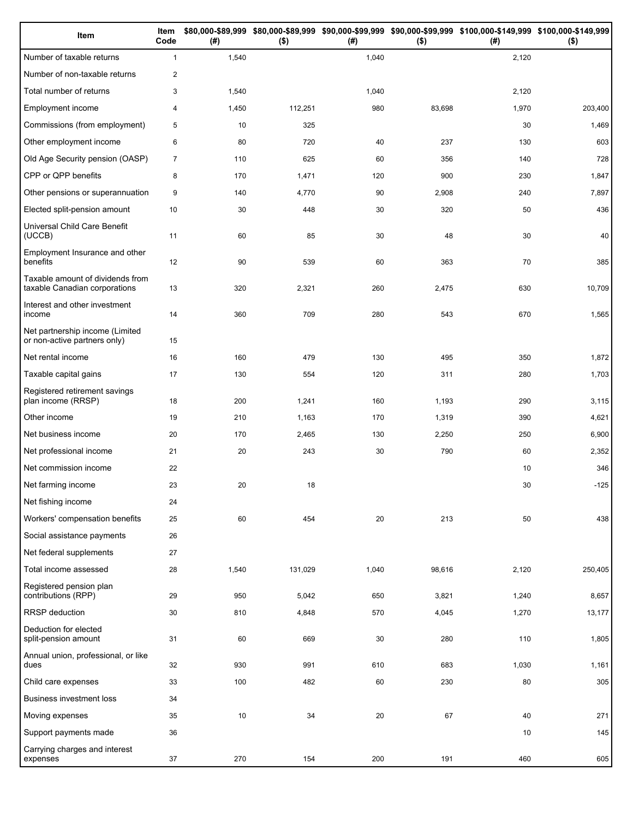| Item                                                              | Item<br>Code   | (# )   | $($ \$) | (# )  | $($ \$) | \$80,000-\$89,999 \$80,000-\$89,999 \$90,000-\$99,999 \$90,000-\$99,999 \$100,000-\$149,999 \$100,000-\$149,999<br>(#) | $($ \$) |
|-------------------------------------------------------------------|----------------|--------|---------|-------|---------|------------------------------------------------------------------------------------------------------------------------|---------|
| Number of taxable returns                                         | $\mathbf{1}$   | 1,540  |         | 1,040 |         | 2,120                                                                                                                  |         |
| Number of non-taxable returns                                     | $\overline{2}$ |        |         |       |         |                                                                                                                        |         |
| Total number of returns                                           | 3              | 1,540  |         | 1,040 |         | 2,120                                                                                                                  |         |
| Employment income                                                 | 4              | 1,450  | 112,251 | 980   | 83,698  | 1,970                                                                                                                  | 203,400 |
| Commissions (from employment)                                     | 5              | 10     | 325     |       |         | 30                                                                                                                     | 1,469   |
| Other employment income                                           | 6              | 80     | 720     | 40    | 237     | 130                                                                                                                    | 603     |
| Old Age Security pension (OASP)                                   | $\overline{7}$ | 110    | 625     | 60    | 356     | 140                                                                                                                    | 728     |
| CPP or QPP benefits                                               | 8              | 170    | 1,471   | 120   | 900     | 230                                                                                                                    | 1,847   |
| Other pensions or superannuation                                  | 9              | 140    | 4,770   | 90    | 2,908   | 240                                                                                                                    | 7,897   |
| Elected split-pension amount                                      | 10             | 30     | 448     | 30    | 320     | 50                                                                                                                     | 436     |
| Universal Child Care Benefit<br>(UCCB)                            | 11             | 60     | 85      | 30    | 48      | 30                                                                                                                     | 40      |
| Employment Insurance and other<br>benefits                        | 12             | 90     | 539     | 60    | 363     | 70                                                                                                                     | 385     |
| Taxable amount of dividends from<br>taxable Canadian corporations | 13             | 320    | 2,321   | 260   | 2,475   | 630                                                                                                                    | 10,709  |
| Interest and other investment<br>income                           | 14             | 360    | 709     | 280   | 543     | 670                                                                                                                    | 1,565   |
| Net partnership income (Limited<br>or non-active partners only)   | 15             |        |         |       |         |                                                                                                                        |         |
| Net rental income                                                 | 16             | 160    | 479     | 130   | 495     | 350                                                                                                                    | 1,872   |
| Taxable capital gains                                             | 17             | 130    | 554     | 120   | 311     | 280                                                                                                                    | 1,703   |
| Registered retirement savings<br>plan income (RRSP)               | 18             | 200    | 1,241   | 160   | 1,193   | 290                                                                                                                    | 3,115   |
| Other income                                                      | 19             | 210    | 1,163   | 170   | 1,319   | 390                                                                                                                    | 4,621   |
| Net business income                                               | 20             | 170    | 2,465   | 130   | 2,250   | 250                                                                                                                    | 6,900   |
| Net professional income                                           | 21             | 20     | 243     | 30    | 790     | 60                                                                                                                     | 2,352   |
| Net commission income                                             | 22             |        |         |       |         | 10                                                                                                                     | 346     |
| Net farming income                                                | 23             | 20     | 18      |       |         | 30                                                                                                                     | $-125$  |
| Net fishing income                                                | 24             |        |         |       |         |                                                                                                                        |         |
| Workers' compensation benefits                                    | 25             | 60     | 454     | 20    | 213     | 50                                                                                                                     | 438     |
| Social assistance payments                                        | 26             |        |         |       |         |                                                                                                                        |         |
| Net federal supplements                                           | 27             |        |         |       |         |                                                                                                                        |         |
| Total income assessed                                             | 28             | 1,540  | 131,029 | 1,040 | 98,616  | 2,120                                                                                                                  | 250,405 |
| Registered pension plan<br>contributions (RPP)                    | 29             | 950    | 5,042   | 650   | 3,821   | 1,240                                                                                                                  | 8,657   |
| RRSP deduction                                                    | 30             | 810    | 4,848   | 570   | 4,045   | 1,270                                                                                                                  | 13,177  |
| Deduction for elected<br>split-pension amount                     | 31             | 60     | 669     | 30    | 280     | 110                                                                                                                    | 1,805   |
| Annual union, professional, or like<br>dues                       | 32             | 930    | 991     | 610   | 683     | 1,030                                                                                                                  | 1,161   |
| Child care expenses                                               | 33             | 100    | 482     | 60    | 230     | 80                                                                                                                     | 305     |
| <b>Business investment loss</b>                                   | 34             |        |         |       |         |                                                                                                                        |         |
| Moving expenses                                                   | 35             | $10\,$ | 34      | 20    | 67      | 40                                                                                                                     | 271     |
| Support payments made                                             | 36             |        |         |       |         | 10                                                                                                                     | 145     |
| Carrying charges and interest<br>expenses                         | 37             | 270    | 154     | 200   | 191     | 460                                                                                                                    | 605     |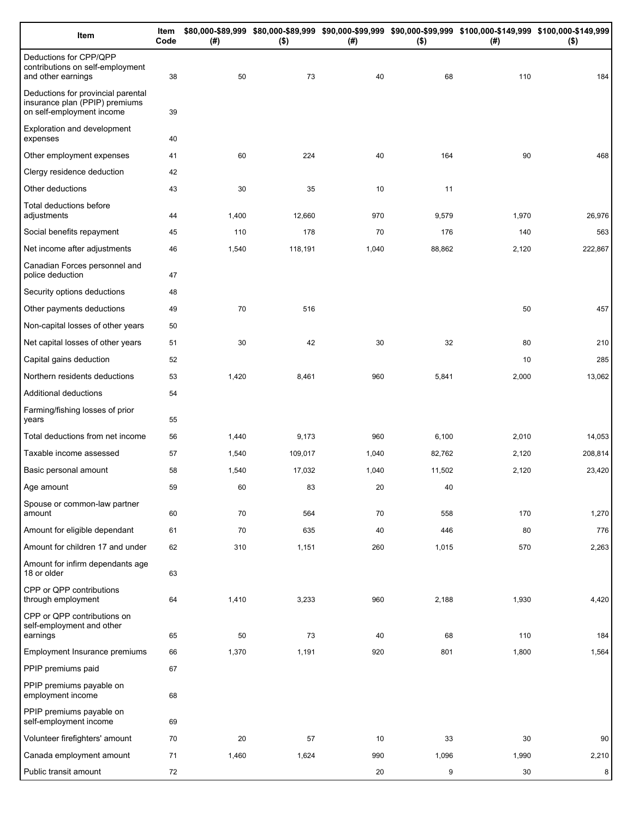| Item                                                                                              | Item<br>Code | (#)   | $($ \$)     | (# )  | $($ \$)   | \$80,000-\$89,999 \$80,000-\$89,999 \$90,000-\$99,999 \$90,000-\$99,999 \$100,000-\$149,999 \$100,000-\$149,999<br>(#) | $($ \$)      |
|---------------------------------------------------------------------------------------------------|--------------|-------|-------------|-------|-----------|------------------------------------------------------------------------------------------------------------------------|--------------|
| Deductions for CPP/QPP<br>contributions on self-employment<br>and other earnings                  | 38           | 50    | 73          | 40    | 68        | 110                                                                                                                    | 184          |
| Deductions for provincial parental<br>insurance plan (PPIP) premiums<br>on self-employment income | 39           |       |             |       |           |                                                                                                                        |              |
| Exploration and development<br>expenses                                                           | 40           |       |             |       |           |                                                                                                                        |              |
| Other employment expenses                                                                         | 41           | 60    | 224         | 40    | 164       | 90                                                                                                                     | 468          |
| Clergy residence deduction                                                                        | 42           |       |             |       |           |                                                                                                                        |              |
| Other deductions                                                                                  | 43           | 30    | 35          | 10    | 11        |                                                                                                                        |              |
| Total deductions before<br>adjustments                                                            | 44           | 1,400 | 12,660      | 970   | 9,579     | 1,970                                                                                                                  | 26,976       |
| Social benefits repayment                                                                         | 45           | 110   | 178         | 70    | 176       | 140                                                                                                                    | 563          |
| Net income after adjustments                                                                      | 46           | 1,540 | 118,191     | 1,040 | 88,862    | 2,120                                                                                                                  | 222,867      |
| Canadian Forces personnel and<br>police deduction                                                 | 47           |       |             |       |           |                                                                                                                        |              |
| Security options deductions                                                                       | 48           |       |             |       |           |                                                                                                                        |              |
| Other payments deductions                                                                         | 49           | 70    | 516         |       |           | 50                                                                                                                     | 457          |
| Non-capital losses of other years                                                                 | 50           |       |             |       |           |                                                                                                                        |              |
| Net capital losses of other years                                                                 | 51           | 30    | 42          | 30    | 32        | 80                                                                                                                     | 210          |
| Capital gains deduction                                                                           | 52           |       |             |       |           | 10                                                                                                                     | 285          |
| Northern residents deductions                                                                     | 53           | 1,420 | 8,461       | 960   | 5,841     | 2,000                                                                                                                  | 13,062       |
| Additional deductions                                                                             | 54           |       |             |       |           |                                                                                                                        |              |
| Farming/fishing losses of prior<br>years                                                          | 55           |       |             |       |           |                                                                                                                        |              |
| Total deductions from net income                                                                  | 56           | 1,440 | 9,173       | 960   | 6,100     | 2,010                                                                                                                  | 14,053       |
| Taxable income assessed                                                                           | 57           | 1,540 | 109,017     | 1,040 | 82,762    | 2,120                                                                                                                  | 208,814      |
| Basic personal amount                                                                             | 58           | 1,540 | 17,032      | 1,040 | 11,502    | 2,120                                                                                                                  | 23,420       |
| Age amount                                                                                        | 59           | 60    | 83          | 20    | 40        |                                                                                                                        |              |
| Spouse or common-law partner<br>amount                                                            | 60           | 70    | 564         | 70    | 558       | 170                                                                                                                    | 1,270        |
| Amount for eligible dependant                                                                     | 61           | 70    | 635         | 40    | 446       | 80                                                                                                                     | 776          |
| Amount for children 17 and under                                                                  | 62           | 310   | 1,151       | 260   | 1,015     | 570                                                                                                                    | 2,263        |
| Amount for infirm dependants age<br>18 or older                                                   | 63           |       |             |       |           |                                                                                                                        |              |
| CPP or QPP contributions<br>through employment                                                    | 64           | 1,410 | 3,233       | 960   | 2,188     | 1,930                                                                                                                  | 4,420        |
| CPP or QPP contributions on<br>self-employment and other                                          |              | 50    |             | 40    |           | 110                                                                                                                    |              |
| earnings<br>Employment Insurance premiums                                                         | 65<br>66     | 1,370 | 73<br>1,191 | 920   | 68<br>801 | 1,800                                                                                                                  | 184<br>1,564 |
| PPIP premiums paid                                                                                | 67           |       |             |       |           |                                                                                                                        |              |
| PPIP premiums payable on                                                                          |              |       |             |       |           |                                                                                                                        |              |
| employment income                                                                                 | 68           |       |             |       |           |                                                                                                                        |              |
| PPIP premiums payable on<br>self-employment income                                                | 69           |       |             |       |           |                                                                                                                        |              |
| Volunteer firefighters' amount                                                                    | 70           | 20    | 57          | 10    | 33        | 30                                                                                                                     | 90           |
| Canada employment amount                                                                          | 71           | 1,460 | 1,624       | 990   | 1,096     | 1,990                                                                                                                  | 2,210        |
| Public transit amount                                                                             | 72           |       |             | 20    | 9         | 30                                                                                                                     | 8            |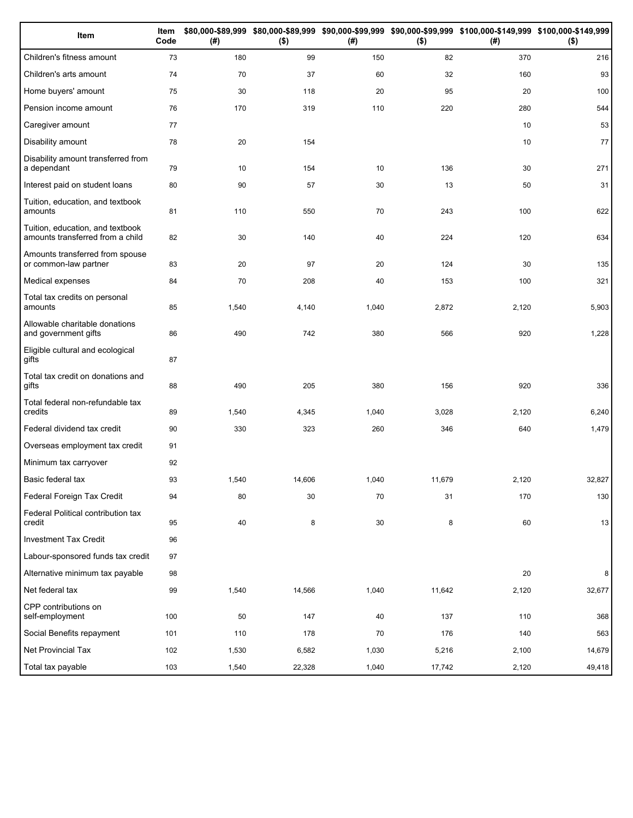| Item                                                                 | Item<br>Code | (# )  | $($ \$) | (#)   | $($ \$) | \$80,000-\$89,999 \$80,000-\$89,999 \$90,000-\$99,999 \$90,000-\$99,999 \$100,000-\$149,999 \$100,000-\$149,999<br>(#) | $($ \$) |
|----------------------------------------------------------------------|--------------|-------|---------|-------|---------|------------------------------------------------------------------------------------------------------------------------|---------|
| Children's fitness amount                                            | 73           | 180   | 99      | 150   | 82      | 370                                                                                                                    | 216     |
| Children's arts amount                                               | 74           | 70    | 37      | 60    | 32      | 160                                                                                                                    | 93      |
| Home buyers' amount                                                  | 75           | 30    | 118     | 20    | 95      | 20                                                                                                                     | 100     |
| Pension income amount                                                | 76           | 170   | 319     | 110   | 220     | 280                                                                                                                    | 544     |
| Caregiver amount                                                     | 77           |       |         |       |         | 10                                                                                                                     | 53      |
| Disability amount                                                    | 78           | 20    | 154     |       |         | 10                                                                                                                     | 77      |
| Disability amount transferred from<br>a dependant                    | 79           | 10    | 154     | 10    | 136     | 30                                                                                                                     | 271     |
| Interest paid on student loans                                       | 80           | 90    | 57      | 30    | 13      | 50                                                                                                                     | 31      |
| Tuition, education, and textbook<br>amounts                          | 81           | 110   | 550     | 70    | 243     | 100                                                                                                                    | 622     |
| Tuition, education, and textbook<br>amounts transferred from a child | 82           | 30    | 140     | 40    | 224     | 120                                                                                                                    | 634     |
| Amounts transferred from spouse<br>or common-law partner             | 83           | 20    | 97      | 20    | 124     | 30                                                                                                                     | 135     |
| Medical expenses                                                     | 84           | 70    | 208     | 40    | 153     | 100                                                                                                                    | 321     |
| Total tax credits on personal<br>amounts                             | 85           | 1,540 | 4,140   | 1,040 | 2,872   | 2,120                                                                                                                  | 5,903   |
| Allowable charitable donations<br>and government gifts               | 86           | 490   | 742     | 380   | 566     | 920                                                                                                                    | 1,228   |
| Eligible cultural and ecological<br>gifts                            | 87           |       |         |       |         |                                                                                                                        |         |
| Total tax credit on donations and<br>gifts                           | 88           | 490   | 205     | 380   | 156     | 920                                                                                                                    | 336     |
| Total federal non-refundable tax<br>credits                          | 89           | 1,540 | 4,345   | 1,040 | 3,028   | 2,120                                                                                                                  | 6,240   |
| Federal dividend tax credit                                          | 90           | 330   | 323     | 260   | 346     | 640                                                                                                                    | 1,479   |
| Overseas employment tax credit                                       | 91           |       |         |       |         |                                                                                                                        |         |
| Minimum tax carryover                                                | 92           |       |         |       |         |                                                                                                                        |         |
| Basic federal tax                                                    | 93           | 1,540 | 14,606  | 1,040 | 11,679  | 2,120                                                                                                                  | 32,827  |
| Federal Foreign Tax Credit                                           | 94           | 80    | 30      | 70    | 31      | 170                                                                                                                    | 130     |
| Federal Political contribution tax<br>credit                         | 95           | 40    | 8       | 30    | 8       | 60                                                                                                                     | 13      |
| <b>Investment Tax Credit</b>                                         | 96           |       |         |       |         |                                                                                                                        |         |
| Labour-sponsored funds tax credit                                    | 97           |       |         |       |         |                                                                                                                        |         |
| Alternative minimum tax payable                                      | 98           |       |         |       |         | 20                                                                                                                     | 8       |
| Net federal tax                                                      | 99           | 1,540 | 14,566  | 1,040 | 11,642  | 2,120                                                                                                                  | 32,677  |
| CPP contributions on<br>self-employment                              | 100          | 50    | 147     | 40    | 137     | 110                                                                                                                    | 368     |
| Social Benefits repayment                                            | 101          | 110   | 178     | 70    | 176     | 140                                                                                                                    | 563     |
| Net Provincial Tax                                                   | 102          | 1,530 | 6,582   | 1,030 | 5,216   | 2,100                                                                                                                  | 14,679  |
| Total tax payable                                                    | 103          | 1,540 | 22,328  | 1,040 | 17,742  | 2,120                                                                                                                  | 49,418  |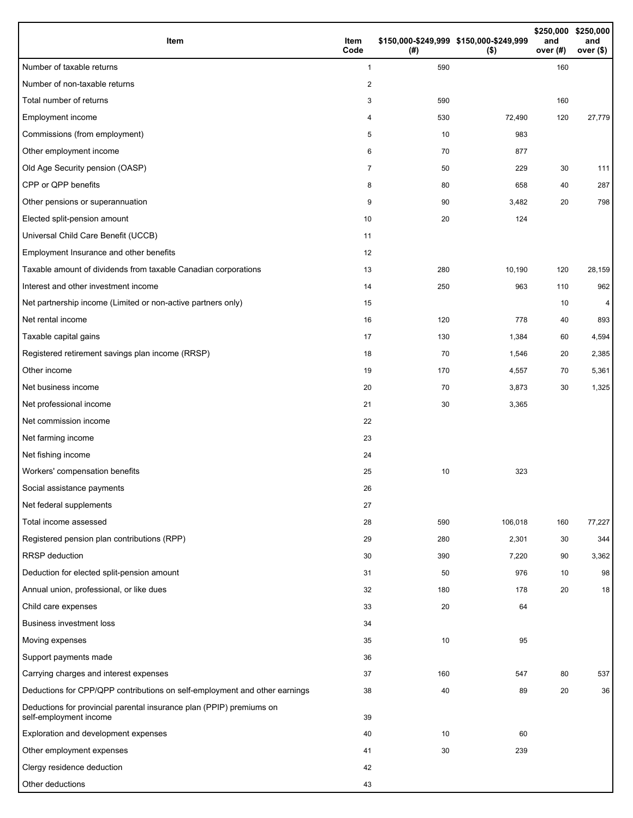| Item                                                                                           | Item<br>Code            | \$150,000-\$249,999 \$150,000-\$249,999<br>(#) | $($ \$) | and<br>over $(#)$ | \$250,000 \$250,000<br>and<br>over (\$) |
|------------------------------------------------------------------------------------------------|-------------------------|------------------------------------------------|---------|-------------------|-----------------------------------------|
| Number of taxable returns                                                                      | $\mathbf{1}$            | 590                                            |         | 160               |                                         |
| Number of non-taxable returns                                                                  | $\overline{\mathbf{c}}$ |                                                |         |                   |                                         |
| Total number of returns                                                                        | 3                       | 590                                            |         | 160               |                                         |
| Employment income                                                                              | 4                       | 530                                            | 72,490  | 120               | 27,779                                  |
| Commissions (from employment)                                                                  | 5                       | 10                                             | 983     |                   |                                         |
| Other employment income                                                                        | 6                       | 70                                             | 877     |                   |                                         |
| Old Age Security pension (OASP)                                                                | $\overline{7}$          | 50                                             | 229     | 30                | 111                                     |
| CPP or QPP benefits                                                                            | 8                       | 80                                             | 658     | 40                | 287                                     |
| Other pensions or superannuation                                                               | 9                       | 90                                             | 3,482   | 20                | 798                                     |
| Elected split-pension amount                                                                   | 10                      | 20                                             | 124     |                   |                                         |
| Universal Child Care Benefit (UCCB)                                                            | 11                      |                                                |         |                   |                                         |
| Employment Insurance and other benefits                                                        | 12                      |                                                |         |                   |                                         |
| Taxable amount of dividends from taxable Canadian corporations                                 | 13                      | 280                                            | 10,190  | 120               | 28,159                                  |
| Interest and other investment income                                                           | 14                      | 250                                            | 963     | 110               | 962                                     |
| Net partnership income (Limited or non-active partners only)                                   | 15                      |                                                |         | 10                | 4                                       |
| Net rental income                                                                              | 16                      | 120                                            | 778     | 40                | 893                                     |
| Taxable capital gains                                                                          | 17                      | 130                                            | 1,384   | 60                | 4,594                                   |
| Registered retirement savings plan income (RRSP)                                               | 18                      | 70                                             | 1,546   | 20                | 2,385                                   |
| Other income                                                                                   | 19                      | 170                                            | 4,557   | 70                | 5,361                                   |
| Net business income                                                                            | 20                      | 70                                             | 3,873   | 30                | 1,325                                   |
| Net professional income                                                                        | 21                      | 30                                             | 3,365   |                   |                                         |
| Net commission income                                                                          | 22                      |                                                |         |                   |                                         |
| Net farming income                                                                             | 23                      |                                                |         |                   |                                         |
| Net fishing income                                                                             | 24                      |                                                |         |                   |                                         |
| Workers' compensation benefits                                                                 | 25                      | 10                                             | 323     |                   |                                         |
| Social assistance payments                                                                     | $26\,$                  |                                                |         |                   |                                         |
| Net federal supplements                                                                        | 27                      |                                                |         |                   |                                         |
| Total income assessed                                                                          | 28                      | 590                                            | 106,018 | 160               | 77,227                                  |
| Registered pension plan contributions (RPP)                                                    | 29                      | 280                                            | 2,301   | 30                | 344                                     |
| RRSP deduction                                                                                 | 30                      | 390                                            | 7,220   | 90                | 3,362                                   |
| Deduction for elected split-pension amount                                                     | 31                      | 50                                             | 976     | 10                | 98                                      |
| Annual union, professional, or like dues                                                       | 32                      | 180                                            | 178     | 20                | 18                                      |
| Child care expenses                                                                            | 33                      | 20                                             | 64      |                   |                                         |
| <b>Business investment loss</b>                                                                | 34                      |                                                |         |                   |                                         |
| Moving expenses                                                                                | 35                      | 10                                             | 95      |                   |                                         |
| Support payments made                                                                          | 36                      |                                                |         |                   |                                         |
| Carrying charges and interest expenses                                                         | 37                      | 160                                            | 547     | 80                | 537                                     |
| Deductions for CPP/QPP contributions on self-employment and other earnings                     | 38                      | 40                                             | 89      | 20                | 36                                      |
| Deductions for provincial parental insurance plan (PPIP) premiums on<br>self-employment income | 39                      |                                                |         |                   |                                         |
| Exploration and development expenses                                                           | 40                      | 10                                             | 60      |                   |                                         |
| Other employment expenses                                                                      | 41                      | 30                                             | 239     |                   |                                         |
| Clergy residence deduction                                                                     | 42                      |                                                |         |                   |                                         |
| Other deductions                                                                               | 43                      |                                                |         |                   |                                         |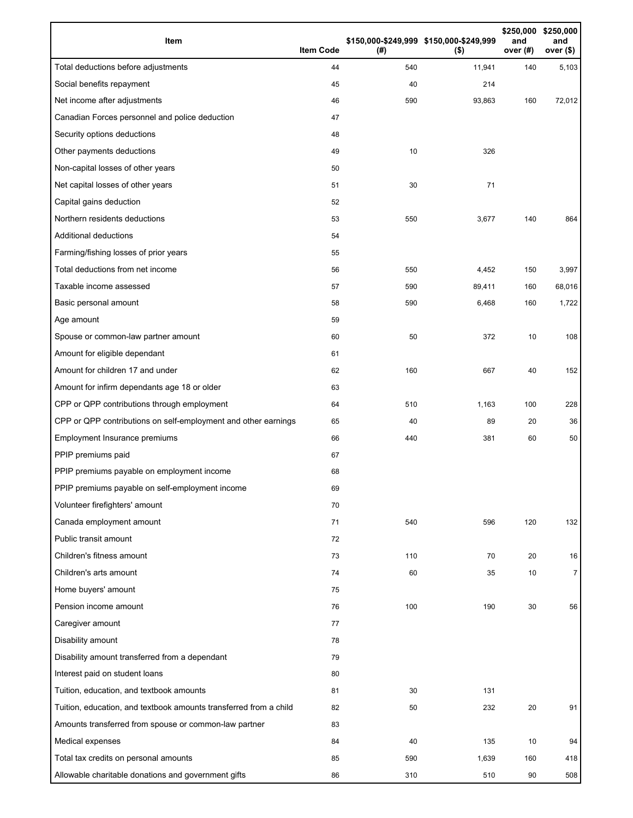| Item                                                              | <b>Item Code</b> | (# ) | \$150,000-\$249,999 \$150,000-\$249,999<br>$($ \$) | \$250,000<br>and<br>over (#) | \$250,000<br>and<br>over $($)$ |
|-------------------------------------------------------------------|------------------|------|----------------------------------------------------|------------------------------|--------------------------------|
| Total deductions before adjustments                               | 44               | 540  | 11,941                                             | 140                          | 5,103                          |
| Social benefits repayment                                         | 45               | 40   | 214                                                |                              |                                |
| Net income after adjustments                                      | 46               | 590  | 93,863                                             | 160                          | 72,012                         |
| Canadian Forces personnel and police deduction                    | 47               |      |                                                    |                              |                                |
| Security options deductions                                       | 48               |      |                                                    |                              |                                |
| Other payments deductions                                         | 49               | 10   | 326                                                |                              |                                |
| Non-capital losses of other years                                 | 50               |      |                                                    |                              |                                |
| Net capital losses of other years                                 | 51               | 30   | 71                                                 |                              |                                |
| Capital gains deduction                                           | 52               |      |                                                    |                              |                                |
| Northern residents deductions                                     | 53               | 550  | 3,677                                              | 140                          | 864                            |
| Additional deductions                                             | 54               |      |                                                    |                              |                                |
| Farming/fishing losses of prior years                             | 55               |      |                                                    |                              |                                |
| Total deductions from net income                                  | 56               | 550  | 4,452                                              | 150                          | 3,997                          |
| Taxable income assessed                                           | 57               | 590  | 89,411                                             | 160                          | 68,016                         |
| Basic personal amount                                             | 58               | 590  | 6,468                                              | 160                          | 1,722                          |
| Age amount                                                        | 59               |      |                                                    |                              |                                |
| Spouse or common-law partner amount                               | 60               | 50   | 372                                                | 10                           | 108                            |
| Amount for eligible dependant                                     | 61               |      |                                                    |                              |                                |
| Amount for children 17 and under                                  | 62               | 160  | 667                                                | 40                           | 152                            |
| Amount for infirm dependants age 18 or older                      | 63               |      |                                                    |                              |                                |
| CPP or QPP contributions through employment                       | 64               | 510  | 1,163                                              | 100                          | 228                            |
| CPP or QPP contributions on self-employment and other earnings    | 65               | 40   | 89                                                 | 20                           | 36                             |
| Employment Insurance premiums                                     | 66               | 440  | 381                                                | 60                           | 50                             |
| PPIP premiums paid                                                | 67               |      |                                                    |                              |                                |
| PPIP premiums payable on employment income                        | 68               |      |                                                    |                              |                                |
| PPIP premiums payable on self-employment income                   | 69               |      |                                                    |                              |                                |
| Volunteer firefighters' amount                                    | 70               |      |                                                    |                              |                                |
| Canada employment amount                                          | 71               | 540  | 596                                                | 120                          | 132                            |
| Public transit amount                                             | 72               |      |                                                    |                              |                                |
| Children's fitness amount                                         | 73               | 110  | 70                                                 | 20                           | 16                             |
| Children's arts amount                                            | 74               | 60   | 35                                                 | 10                           | $\overline{7}$                 |
| Home buyers' amount                                               | 75               |      |                                                    |                              |                                |
| Pension income amount                                             | 76               | 100  | 190                                                | 30                           | 56                             |
| Caregiver amount                                                  | 77               |      |                                                    |                              |                                |
| Disability amount                                                 | 78               |      |                                                    |                              |                                |
| Disability amount transferred from a dependant                    | 79               |      |                                                    |                              |                                |
| Interest paid on student loans                                    | 80               |      |                                                    |                              |                                |
| Tuition, education, and textbook amounts                          | 81               | 30   | 131                                                |                              |                                |
| Tuition, education, and textbook amounts transferred from a child | 82               | 50   | 232                                                | 20                           | 91                             |
| Amounts transferred from spouse or common-law partner             | 83               |      |                                                    |                              |                                |
| Medical expenses                                                  | 84               | 40   | 135                                                | 10                           | 94                             |
| Total tax credits on personal amounts                             | 85               | 590  | 1,639                                              | 160                          | 418                            |
| Allowable charitable donations and government gifts               | 86               | 310  | 510                                                | 90                           | 508                            |